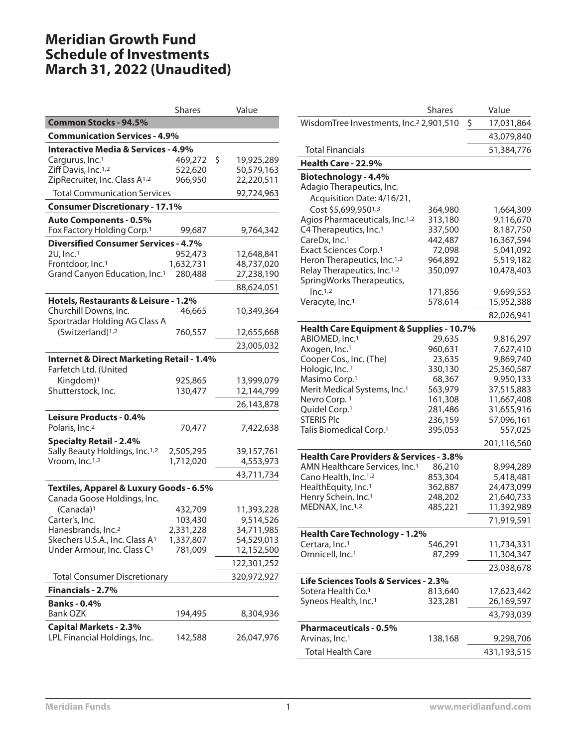# **Meridian Growth Fund Schedule of Investments March 31, 2022 (Unaudited)**

|                                                                               | <b>Shares</b> | Value            |
|-------------------------------------------------------------------------------|---------------|------------------|
| <b>Common Stocks - 94.5%</b>                                                  |               |                  |
| <b>Communication Services - 4.9%</b>                                          |               |                  |
| <b>Interactive Media &amp; Services - 4.9%</b>                                |               |                  |
| Cargurus, Inc. <sup>1</sup>                                                   | 469,272       | \$<br>19,925,289 |
| Ziff Davis, Inc. <sup>1,2</sup>                                               | 522,620       | 50,579,163       |
| ZipRecruiter, Inc. Class A <sup>1,2</sup>                                     | 966,950       | 22,220,511       |
| <b>Total Communication Services</b>                                           |               | 92,724,963       |
| <b>Consumer Discretionary - 17.1%</b>                                         |               |                  |
| <b>Auto Components - 0.5%</b><br>Fox Factory Holding Corp. <sup>1</sup>       | 99,687        | 9,764,342        |
| <b>Diversified Consumer Services - 4.7%</b>                                   |               |                  |
| 2U, Inc. <sup>1</sup>                                                         | 952,473       | 12,648,841       |
| Frontdoor, Inc. <sup>1</sup>                                                  | 1,632,731     | 48,737,020       |
| Grand Canyon Education, Inc. <sup>1</sup>                                     | 280,488       | 27,238,190       |
|                                                                               |               | 88,624,051       |
| Hotels, Restaurants & Leisure - 1.2%                                          |               |                  |
| Churchill Downs, Inc.<br>Sportradar Holding AG Class A                        | 46,665        | 10,349,364       |
| (Switzerland) <sup>1,2</sup>                                                  | 760,557       | 12,655,668       |
|                                                                               |               | 23,005,032       |
| <b>Internet &amp; Direct Marketing Retail - 1.4%</b><br>Farfetch Ltd. (United |               |                  |
| Kingdom) <sup>1</sup>                                                         | 925,865       | 13,999,079       |
| Shutterstock, Inc.                                                            | 130,477       | 12,144,799       |
|                                                                               |               | 26,143,878       |
| Leisure Products - 0.4%                                                       |               |                  |
| Polaris, Inc. <sup>2</sup>                                                    | 70,477        | 7,422,638        |
| <b>Specialty Retail - 2.4%</b>                                                |               |                  |
| Sally Beauty Holdings, Inc. <sup>1,2</sup>                                    | 2,505,295     | 39,157,761       |
| Vroom, Inc. <sup>1,2</sup>                                                    | 1,712,020     | 4,553,973        |
|                                                                               |               | 43,711,734       |
| Textiles, Apparel & Luxury Goods - 6.5%<br>Canada Goose Holdings, Inc.        |               |                  |
| (Canada) <sup>1</sup>                                                         | 432,709       | 11,393,228       |
| Carter's, Inc.                                                                | 103,430       | 9,514,526        |
| Hanesbrands, Inc. <sup>2</sup>                                                | 2,331,228     | 34,711,985       |
| Skechers U.S.A., Inc. Class A <sup>1</sup>                                    | 1,337,807     | 54,529,013       |
| Under Armour, Inc. Class C <sup>1</sup>                                       | 781,009       | 12,152,500       |
|                                                                               |               | 122,301,252      |
| <b>Total Consumer Discretionary</b>                                           |               | 320,972,927      |
| Financials - 2.7%                                                             |               |                  |
| <b>Banks - 0.4%</b>                                                           |               |                  |
| <b>Bank OZK</b>                                                               | 194,495       | 8,304,936        |
| <b>Capital Markets - 2.3%</b><br>LPL Financial Holdings, Inc.                 | 142,588       | 26,047,976       |
|                                                                               |               |                  |

|                                                     | <b>Shares</b> | Value            |
|-----------------------------------------------------|---------------|------------------|
| WisdomTree Investments, Inc. <sup>2</sup> 2,901,510 |               | \$<br>17,031,864 |
|                                                     |               | 43,079,840       |
| <b>Total Financials</b>                             |               | 51,384,776       |
| Health Care - 22.9%                                 |               |                  |
| Biotechnology - 4.4%                                |               |                  |
| Adagio Therapeutics, Inc.                           |               |                  |
| Acquisition Date: 4/16/21,                          |               |                  |
| Cost \$5,699,9501,3                                 | 364,980       | 1,664,309        |
| Agios Pharmaceuticals, Inc. <sup>1,2</sup>          | 313,180       | 9,116,670        |
| C4 Therapeutics, Inc. <sup>1</sup>                  | 337,500       | 8,187,750        |
| CareDx, Inc. <sup>1</sup>                           | 442,487       | 16,367,594       |
| Exact Sciences Corp. <sup>1</sup>                   | 72,098        | 5,041,092        |
| Heron Therapeutics, Inc. <sup>1,2</sup>             | 964,892       | 5,519,182        |
| Relay Therapeutics, Inc. <sup>1,2</sup>             | 350,097       | 10,478,403       |
| SpringWorks Therapeutics,                           |               |                  |
| Inc. <sup>1,2</sup>                                 | 171,856       | 9,699,553        |
| Veracyte, Inc. <sup>1</sup>                         | 578,614       | 15,952,388       |
|                                                     |               | 82,026,941       |
| Health Care Equipment & Supplies - 10.7%            |               |                  |
| ABIOMED, Inc. <sup>1</sup>                          | 29,635        | 9,816,297        |
| Axogen, Inc. <sup>1</sup>                           | 960,631       | 7,627,410        |
| Cooper Cos., Inc. (The)                             | 23,635        | 9,869,740        |
| Hologic, Inc. 1                                     | 330,130       | 25,360,587       |
| Masimo Corp.1                                       | 68,367        | 9,950,133        |
| Merit Medical Systems, Inc. <sup>1</sup>            | 563,979       | 37,515,883       |
| Nevro Corp. 1                                       | 161,308       | 11,667,408       |
| Quidel Corp. <sup>1</sup>                           | 281,486       | 31,655,916       |
| <b>STERIS PIC</b>                                   | 236,159       | 57,096,161       |
| Talis Biomedical Corp. <sup>1</sup>                 | 395,053       | 557,025          |
|                                                     |               | 201,116,560      |
| <b>Health Care Providers &amp; Services - 3.8%</b>  |               |                  |
| AMN Healthcare Services, Inc. <sup>1</sup>          | 86,210        | 8,994,289        |
| Cano Health, Inc. <sup>1,2</sup>                    | 853,304       | 5,418,481        |
| HealthEquity, Inc. <sup>1</sup>                     | 362,887       | 24,473,099       |
| Henry Schein, Inc. <sup>1</sup>                     | 248,202       | 21,640,733       |
| MEDNAX, Inc.1,2                                     | 485,221       | 11,392,989       |
|                                                     |               | 71,919,591       |
| <b>Health Care Technology - 1.2%</b>                |               |                  |
| Certara, Inc. <sup>1</sup>                          | 546,291       | 11,734,331       |
| Omnicell, Inc. <sup>1</sup>                         | 87,299        | 11,304,347       |
|                                                     |               | 23,038,678       |
| Life Sciences Tools & Services - 2.3%               |               |                  |
| Sotera Health Co. <sup>1</sup>                      | 813,640       | 17,623,442       |
| Syneos Health, Inc. <sup>1</sup>                    | 323,281       | 26,169,597       |
|                                                     |               |                  |
|                                                     |               | 43,793,039       |
| <b>Pharmaceuticals - 0.5%</b>                       |               |                  |
| Arvinas, Inc. <sup>1</sup>                          | 138,168       | 9,298,706        |
| <b>Total Health Care</b>                            |               | 431,193,515      |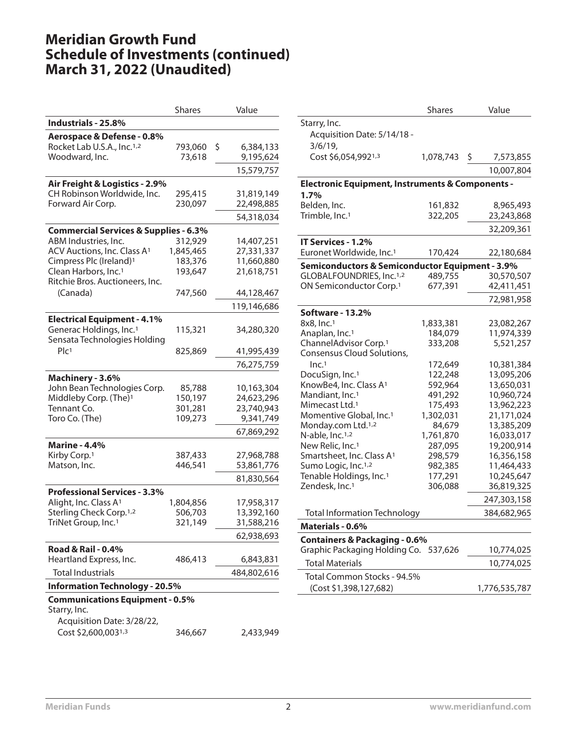|                                                  | <b>Shares</b> | Value           |
|--------------------------------------------------|---------------|-----------------|
| Industrials - 25.8%                              |               |                 |
| Aerospace & Defense - 0.8%                       |               |                 |
| Rocket Lab U.S.A., Inc. <sup>1,2</sup>           | 793,060       | \$<br>6,384,133 |
| Woodward, Inc.                                   | 73,618        | 9,195,624       |
|                                                  |               | 15,579,757      |
| Air Freight & Logistics - 2.9%                   |               |                 |
| CH Robinson Worldwide, Inc.                      | 295,415       | 31,819,149      |
| Forward Air Corp.                                | 230,097       | 22,498,885      |
|                                                  |               | 54,318,034      |
| <b>Commercial Services &amp; Supplies - 6.3%</b> |               |                 |
| ABM Industries, Inc.                             | 312,929       | 14,407,251      |
| ACV Auctions, Inc. Class A <sup>1</sup>          | 1,845,465     | 27,331,337      |
| Cimpress Plc (Ireland) <sup>1</sup>              | 183,376       | 11,660,880      |
| Clean Harbors, Inc. <sup>1</sup>                 | 193,647       | 21,618,751      |
| Ritchie Bros. Auctioneers, Inc.                  |               |                 |
| (Canada)                                         | 747,560       | 44,128,467      |
|                                                  |               | 119,146,686     |
| <b>Electrical Equipment - 4.1%</b>               |               |                 |
| Generac Holdings, Inc. <sup>1</sup>              | 115,321       | 34,280,320      |
| Sensata Technologies Holding                     |               |                 |
| Plc <sub>1</sub>                                 | 825,869       | 41,995,439      |
|                                                  |               | 76,275,759      |
| Machinery - 3.6%                                 |               |                 |
| John Bean Technologies Corp.                     | 85,788        | 10,163,304      |
| Middleby Corp. (The) <sup>1</sup>                | 150,197       | 24,623,296      |
| Tennant Co.                                      | 301,281       | 23,740,943      |
| Toro Co. (The)                                   | 109,273       | 9,341,749       |
|                                                  |               | 67,869,292      |
| <b>Marine - 4.4%</b>                             |               |                 |
| Kirby Corp. <sup>1</sup>                         | 387,433       | 27,968,788      |
| Matson, Inc.                                     | 446,541       | 53,861,776      |
|                                                  |               | 81,830,564      |
| <b>Professional Services - 3.3%</b>              |               |                 |
| Alight, Inc. Class A <sup>1</sup>                | 1,804,856     | 17,958,317      |
| Sterling Check Corp. <sup>1,2</sup>              | 506,703       | 13,392,160      |
| TriNet Group, Inc. <sup>1</sup>                  | 321,149       | 31,588,216      |
|                                                  |               | 62,938,693      |
| <b>Road &amp; Rail - 0.4%</b>                    |               |                 |
| Heartland Express, Inc.                          | 486,413       | 6,843,831       |
| <b>Total Industrials</b>                         |               | 484,802,616     |
| <b>Information Technology - 20.5%</b>            |               |                 |
| <b>Communications Equipment - 0.5%</b>           |               |                 |
| Starry, Inc.                                     |               |                 |
| Acquisition Date: 3/28/22,                       |               |                 |
| Cost \$2,600,0031,3                              | 346,667       | 2,433,949       |
|                                                  |               |                 |

|                                                                                   | Shares             |                    | Value                    |
|-----------------------------------------------------------------------------------|--------------------|--------------------|--------------------------|
| Starry, Inc.                                                                      |                    |                    |                          |
| Acquisition Date: 5/14/18 -                                                       |                    |                    |                          |
| 3/6/19,                                                                           |                    |                    |                          |
| Cost \$6,054,9921,3                                                               | 1,078,743          | $\ddot{\varsigma}$ | 7,573,855                |
|                                                                                   |                    |                    | 10,007,804               |
| <b>Electronic Equipment, Instruments &amp; Components -</b>                       |                    |                    |                          |
| 1.7%                                                                              |                    |                    |                          |
| Belden, Inc.                                                                      | 161,832            |                    | 8,965,493                |
| Trimble, Inc. <sup>1</sup>                                                        | 322,205            |                    | 23,243,868               |
|                                                                                   |                    |                    | 32,209,361               |
| IT Services - 1.2%                                                                |                    |                    |                          |
| Euronet Worldwide, Inc. <sup>1</sup>                                              | 170,424            |                    | 22,180,684               |
| Semiconductors & Semiconductor Equipment - 3.9%                                   |                    |                    |                          |
| GLOBALFOUNDRIES, Inc.1,2                                                          | 489,755            |                    | 30,570,507               |
| ON Semiconductor Corp. <sup>1</sup>                                               | 677,391            |                    | 42,411,451               |
|                                                                                   |                    |                    | 72,981,958               |
| Software - 13.2%                                                                  |                    |                    |                          |
| 8x8, Inc.1                                                                        | 1,833,381          |                    | 23,082,267               |
| Anaplan, Inc. <sup>1</sup>                                                        | 184,079            |                    | 11,974,339               |
| ChannelAdvisor Corp. <sup>1</sup>                                                 | 333,208            |                    | 5,521,257                |
| Consensus Cloud Solutions,                                                        |                    |                    |                          |
| Inc. <sup>1</sup>                                                                 | 172,649            |                    | 10,381,384               |
| DocuSign, Inc. <sup>1</sup>                                                       | 122,248            |                    | 13,095,206               |
| KnowBe4, Inc. Class A <sup>1</sup>                                                | 592,964            |                    | 13,650,031               |
| Mandiant, Inc. <sup>1</sup>                                                       | 491,292            |                    | 10,960,724               |
| Mimecast Ltd. <sup>1</sup>                                                        | 175,493            |                    | 13,962,223               |
| Momentive Global, Inc. <sup>1</sup>                                               | 1,302,031          |                    | 21,171,024               |
| Monday.com Ltd. <sup>1,2</sup>                                                    | 84,679             |                    | 13,385,209               |
| N-able, Inc. <sup>1,2</sup>                                                       | 1,761,870          |                    | 16,033,017               |
| New Relic, Inc. <sup>1</sup>                                                      | 287,095            |                    | 19,200,914               |
| Smartsheet, Inc. Class A <sup>1</sup><br>Sumo Logic, Inc. <sup>1,2</sup>          | 298,579            |                    | 16,356,158<br>11,464,433 |
| Tenable Holdings, Inc. <sup>1</sup>                                               | 982,385<br>177,291 |                    | 10,245,647               |
| Zendesk, Inc. <sup>1</sup>                                                        | 306,088            |                    | 36,819,325               |
|                                                                                   |                    |                    | 247,303,158              |
| <b>Total Information Technology</b>                                               |                    |                    | 384,682,965              |
| Materials - 0.6%                                                                  |                    |                    |                          |
|                                                                                   |                    |                    |                          |
| <b>Containers &amp; Packaging - 0.6%</b><br>Graphic Packaging Holding Co. 537,626 |                    |                    |                          |
| <b>Total Materials</b>                                                            |                    |                    | 10,774,025               |
|                                                                                   |                    |                    | 10,774,025               |
| Total Common Stocks - 94.5%                                                       |                    |                    |                          |
| (Cost \$1,398,127,682)                                                            |                    |                    | 1,776,535,787            |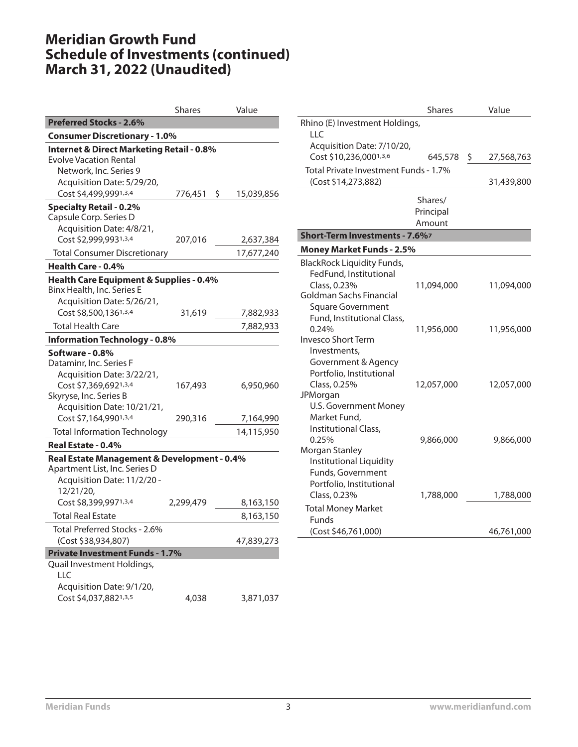|                                                                                                                                                   | <b>Shares</b> | Value            |
|---------------------------------------------------------------------------------------------------------------------------------------------------|---------------|------------------|
| <b>Preferred Stocks - 2.6%</b>                                                                                                                    |               |                  |
| <b>Consumer Discretionary - 1.0%</b>                                                                                                              |               |                  |
| <b>Internet &amp; Direct Marketing Retail - 0.8%</b><br>Evolve Vacation Rental<br>Network, Inc. Series 9<br>Acquisition Date: 5/29/20,            |               |                  |
| Cost \$4,499,9991,3,4                                                                                                                             | 776,451       | \$<br>15,039,856 |
| <b>Specialty Retail - 0.2%</b><br>Capsule Corp. Series D<br>Acquisition Date: 4/8/21,<br>Cost \$2,999,9931,3,4                                    | 207,016       | 2,637,384        |
| <b>Total Consumer Discretionary</b>                                                                                                               |               | 17,677,240       |
| Health Care - 0.4%                                                                                                                                |               |                  |
| Health Care Equipment & Supplies - 0.4%<br>Binx Health, Inc. Series E<br>Acquisition Date: 5/26/21,                                               |               |                  |
| Cost \$8,500,1361,3,4                                                                                                                             | 31,619        | 7,882,933        |
| Total Health Care                                                                                                                                 |               | 7,882,933        |
| <b>Information Technology - 0.8%</b>                                                                                                              |               |                  |
| Software - 0.8%<br>Dataminr, Inc. Series F<br>Acquisition Date: 3/22/21,<br>Cost \$7,369,6921,3,4<br>Skyryse, Inc. Series B                       | 167,493       | 6,950,960        |
| Acquisition Date: 10/21/21,<br>Cost \$7,164,9901,3,4                                                                                              | 290,316       | 7,164,990        |
| Total Information Technology                                                                                                                      |               | 14,115,950       |
| Real Estate - 0.4%                                                                                                                                |               |                  |
| Real Estate Management & Development - 0.4%<br>Apartment List, Inc. Series D<br>Acquisition Date: 11/2/20 -<br>12/21/20,<br>Cost \$8,399,9971,3,4 | 2,299,479     | 8,163,150        |
| <b>Total Real Estate</b>                                                                                                                          |               | 8,163,150        |
| Total Preferred Stocks - 2.6%<br>(Cost \$38,934,807)                                                                                              |               | 47,839,273       |
| <b>Private Investment Funds - 1.7%</b>                                                                                                            |               |                  |
| Quail Investment Holdings,<br>LLC<br>Acquisition Date: 9/1/20,<br>Cost \$4,037,8821,3,5                                                           | 4,038         | 3,871,037        |

|                                       | <b>Shares</b> | Value      |
|---------------------------------------|---------------|------------|
| Rhino (E) Investment Holdings,<br>LLC |               |            |
| Acquisition Date: 7/10/20,            |               |            |
| Cost \$10,236,0001,3,6                | 645,578 \$    | 27,568,763 |
| Total Private Investment Funds - 1.7% |               |            |
| (Cost \$14,273,882)                   |               | 31,439,800 |
|                                       | Shares/       |            |
|                                       | Principal     |            |
|                                       | Amount        |            |
| Short-Term Investments - 7.6%7        |               |            |
| <b>Money Market Funds - 2.5%</b>      |               |            |
| <b>BlackRock Liquidity Funds,</b>     |               |            |
| FedFund, Institutional                |               |            |
| Class, 0.23%                          | 11,094,000    | 11,094,000 |
| Goldman Sachs Financial               |               |            |
| <b>Square Government</b>              |               |            |
| Fund, Institutional Class,            |               |            |
| 0.24%                                 | 11,956,000    | 11,956,000 |
| <b>Invesco Short Term</b>             |               |            |
| Investments,                          |               |            |
| Government & Agency                   |               |            |
| Portfolio, Institutional              |               |            |
| Class, 0.25%<br>JPMorgan              | 12,057,000    | 12,057,000 |
| U.S. Government Money                 |               |            |
| Market Fund,                          |               |            |
| Institutional Class,                  |               |            |
| 0.25%                                 | 9,866,000     | 9,866,000  |
| Morgan Stanley                        |               |            |
| <b>Institutional Liquidity</b>        |               |            |
| Funds, Government                     |               |            |
| Portfolio, Institutional              |               |            |
| Class, 0.23%                          | 1,788,000     | 1,788,000  |
| <b>Total Money Market</b>             |               |            |
| Funds                                 |               |            |
| (Cost \$46,761,000)                   |               | 46,761,000 |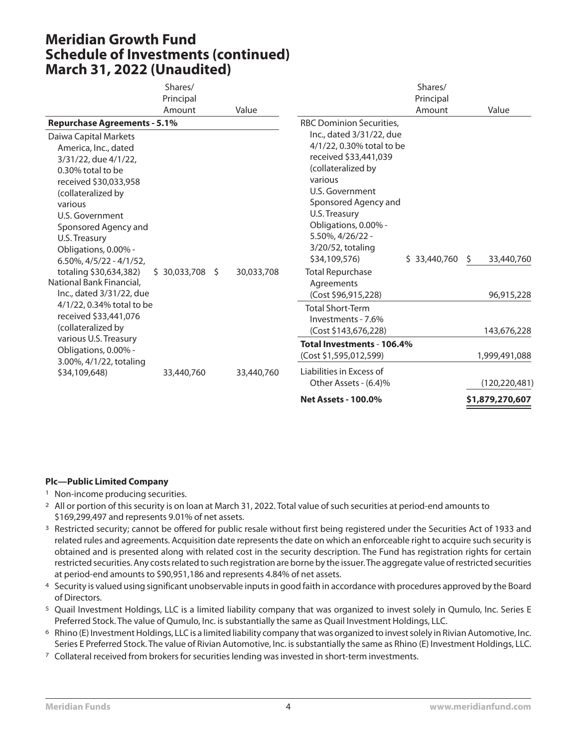|                                                                                                                                                                                                                                                                                 | Shares/<br>Principal<br>Amount | Value      |                                                                                                                                                                                                                                                                                 | Shares/<br>Principal<br>Amount | Value                                          |
|---------------------------------------------------------------------------------------------------------------------------------------------------------------------------------------------------------------------------------------------------------------------------------|--------------------------------|------------|---------------------------------------------------------------------------------------------------------------------------------------------------------------------------------------------------------------------------------------------------------------------------------|--------------------------------|------------------------------------------------|
| <b>Repurchase Agreements - 5.1%</b><br>Daiwa Capital Markets<br>America, Inc., dated<br>3/31/22, due 4/1/22,<br>0.30% total to be<br>received \$30,033,958<br>(collateralized by<br>various<br>U.S. Government<br>Sponsored Agency and<br>U.S. Treasury<br>Obligations, 0.00% - |                                |            | <b>RBC Dominion Securities,</b><br>Inc., dated 3/31/22, due<br>4/1/22, 0.30% total to be<br>received \$33,441,039<br>(collateralized by<br>various<br>U.S. Government<br>Sponsored Agency and<br>U.S. Treasury<br>Obligations, 0.00% -<br>5.50%, 4/26/22 -<br>3/20/52, totaling |                                |                                                |
| $6.50\%$ , $4/5/22 - 4/1/52$ ,<br>totaling \$30,634,382)<br>National Bank Financial,<br>Inc., dated 3/31/22, due<br>4/1/22, 0.34% total to be<br>received \$33,441,076<br>(collateralized by                                                                                    | $$30,033,708$ \$               | 30,033,708 | \$34,109,576)<br><b>Total Repurchase</b><br>Agreements<br>(Cost \$96,915,228)<br><b>Total Short-Term</b><br>Investments - 7.6%<br>(Cost \$143,676,228)                                                                                                                          | \$33,440,760                   | 33,440,760<br>\$.<br>96,915,228<br>143,676,228 |
| various U.S. Treasury<br>Obligations, 0.00% -<br>3.00%, 4/1/22, totaling<br>\$34,109,648)                                                                                                                                                                                       | 33,440,760                     | 33,440,760 | Total Investments - 106.4%<br>(Cost \$1,595,012,599)<br>Liabilities in Excess of<br>Other Assets - (6.4)%                                                                                                                                                                       |                                | 1,999,491,088<br>(120, 220, 481)               |
|                                                                                                                                                                                                                                                                                 |                                |            | <b>Net Assets - 100.0%</b>                                                                                                                                                                                                                                                      |                                | \$1,879,270,607                                |

- <sup>1</sup> Non-income producing securities.
- <sup>2</sup> All or portion of this security is on loan at March 31, 2022. Total value of such securities at period-end amounts to \$169,299,497 and represents 9.01% of net assets.
- <sup>3</sup> Restricted security; cannot be offered for public resale without first being registered under the Securities Act of 1933 and related rules and agreements. Acquisition date represents the date on which an enforceable right to acquire such security is obtained and is presented along with related cost in the security description. The Fund has registration rights for certain restricted securities. Any costs related to such registration are borne by the issuer.The aggregate value of restricted securities at period-end amounts to \$90,951,186 and represents 4.84% of net assets.
- 4 Security is valued using significant unobservable inputs in good faith in accordance with procedures approved by the Board of Directors.
- 5 Quail Investment Holdings, LLC is a limited liability company that was organized to invest solely in Qumulo, Inc. Series E Preferred Stock. The value of Qumulo, Inc. is substantially the same as Quail Investment Holdings, LLC.
- 6 Rhino (E) Investment Holdings, LLC is a limited liability company that was organized to invest solely in Rivian Automotive, Inc. Series E Preferred Stock. The value of Rivian Automotive, Inc. is substantially the same as Rhino (E) Investment Holdings, LLC.
- 7 Collateral received from brokers for securities lending was invested in short-term investments.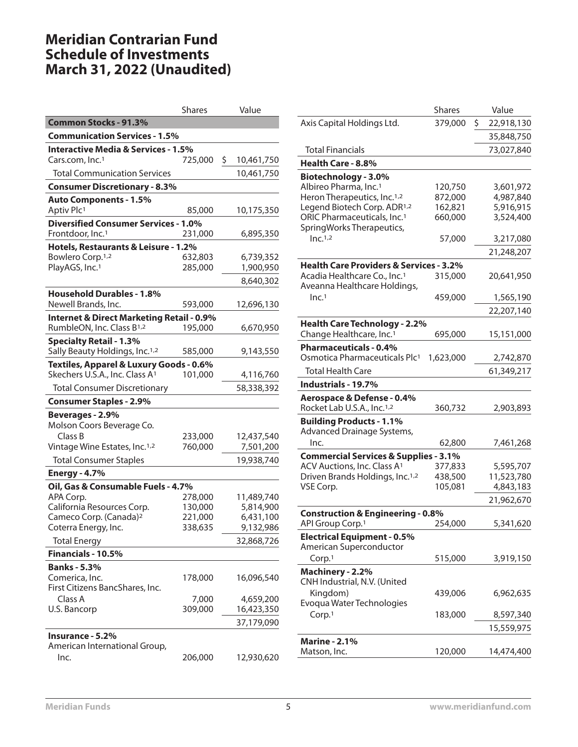# **Meridian Contrarian Fund Schedule of Investments March 31, 2022 (Unaudited)**

|                                                      | <b>Shares</b> | Value            |
|------------------------------------------------------|---------------|------------------|
| <b>Common Stocks - 91.3%</b>                         |               |                  |
| <b>Communication Services - 1.5%</b>                 |               |                  |
| <b>Interactive Media &amp; Services - 1.5%</b>       |               |                  |
| Cars.com, Inc. <sup>1</sup>                          | 725,000       | \$<br>10,461,750 |
| <b>Total Communication Services</b>                  |               | 10,461,750       |
| <b>Consumer Discretionary - 8.3%</b>                 |               |                  |
| <b>Auto Components - 1.5%</b>                        |               |                  |
| Aptiv Plc1                                           | 85,000        | 10,175,350       |
| <b>Diversified Consumer Services - 1.0%</b>          |               |                  |
| Frontdoor, Inc. <sup>1</sup>                         | 231,000       | 6,895,350        |
| Hotels, Restaurants & Leisure - 1.2%                 |               |                  |
| Bowlero Corp. <sup>1,2</sup>                         | 632,803       | 6,739,352        |
| PlayAGS, Inc. <sup>1</sup>                           | 285,000       | 1,900,950        |
|                                                      |               | 8,640,302        |
| <b>Household Durables - 1.8%</b>                     |               |                  |
| Newell Brands, Inc.                                  | 593,000       | 12,696,130       |
| <b>Internet &amp; Direct Marketing Retail - 0.9%</b> |               |                  |
| RumbleON, Inc. Class B1,2                            | 195,000       | 6,670,950        |
| <b>Specialty Retail - 1.3%</b>                       |               |                  |
| Sally Beauty Holdings, Inc. <sup>1,2</sup>           | 585,000       | 9,143,550        |
| Textiles, Apparel & Luxury Goods - 0.6%              |               |                  |
| Skechers U.S.A., Inc. Class A1                       | 101,000       | 4,116,760        |
| <b>Total Consumer Discretionary</b>                  |               | 58,338,392       |
| <b>Consumer Staples - 2.9%</b>                       |               |                  |
| Beverages - 2.9%                                     |               |                  |
| Molson Coors Beverage Co.                            |               |                  |
| Class B                                              | 233,000       | 12,437,540       |
| Vintage Wine Estates, Inc. <sup>1,2</sup>            | 760,000       | 7,501,200        |
| <b>Total Consumer Staples</b>                        |               | 19,938,740       |
| <b>Energy - 4.7%</b>                                 |               |                  |
| Oil, Gas & Consumable Fuels - 4.7%                   |               |                  |
| APA Corp.                                            | 278,000       | 11,489,740       |
| California Resources Corp.                           | 130,000       | 5,814,900        |
| Cameco Corp. (Canada) <sup>2</sup>                   | 221,000       | 6,431,100        |
| Coterra Energy, Inc.                                 | 338,635       | 9,132,986        |
| <b>Total Energy</b>                                  |               | 32,868,726       |
| Financials - 10.5%                                   |               |                  |
| <b>Banks - 5.3%</b>                                  |               |                  |
| Comerica, Inc.                                       | 178,000       | 16,096,540       |
| First Citizens BancShares, Inc.                      |               |                  |
| Class A                                              | 7,000         | 4,659,200        |
| U.S. Bancorp                                         | 309,000       | 16,423,350       |
|                                                      |               | 37,179,090       |
| Insurance - 5.2%                                     |               |                  |
| American International Group,                        |               |                  |
| Inc.                                                 | 206,000       | 12,930,620       |

|                                                                          | <b>Shares</b>      | Value                   |
|--------------------------------------------------------------------------|--------------------|-------------------------|
| Axis Capital Holdings Ltd.                                               | 379,000            | \$<br>22,918,130        |
|                                                                          |                    | 35,848,750              |
| Total Financials                                                         |                    | 73,027,840              |
| Health Care - 8.8%                                                       |                    |                         |
| Biotechnology - 3.0%                                                     |                    |                         |
| Albireo Pharma, Inc. <sup>1</sup>                                        | 120,750            | 3,601,972               |
| Heron Therapeutics, Inc. <sup>1,2</sup>                                  | 872,000            | 4,987,840               |
| Legend Biotech Corp. ADR <sup>1,2</sup>                                  | 162,821            | 5,916,915               |
| ORIC Pharmaceuticals, Inc. <sup>1</sup>                                  | 660,000            | 3,524,400               |
| SpringWorks Therapeutics,<br>Inc. <sup>1,2</sup>                         |                    |                         |
|                                                                          | 57,000             | 3,217,080               |
|                                                                          |                    | 21,248,207              |
| <b>Health Care Providers &amp; Services - 3.2%</b>                       |                    |                         |
| Acadia Healthcare Co., Inc. <sup>1</sup><br>Aveanna Healthcare Holdings, | 315,000            | 20,641,950              |
| Inc. <sup>1</sup>                                                        | 459,000            | 1,565,190               |
|                                                                          |                    | 22,207,140              |
| <b>Health Care Technology - 2.2%</b>                                     |                    |                         |
| Change Healthcare, Inc. <sup>1</sup>                                     | 695,000            | 15,151,000              |
| <b>Pharmaceuticals - 0.4%</b>                                            |                    |                         |
| Osmotica Pharmaceuticals Plc1                                            | 1,623,000          | 2,742,870               |
| <b>Total Health Care</b>                                                 |                    | 61,349,217              |
| Industrials - 19.7%                                                      |                    |                         |
| Aerospace & Defense - 0.4%                                               |                    |                         |
| Rocket Lab U.S.A., Inc. <sup>1,2</sup>                                   | 360,732            | 2,903,893               |
| <b>Building Products - 1.1%</b>                                          |                    |                         |
| Advanced Drainage Systems,                                               |                    |                         |
| lnc.                                                                     | 62,800             | 7,461,268               |
| <b>Commercial Services &amp; Supplies - 3.1%</b>                         |                    |                         |
| ACV Auctions, Inc. Class A1                                              | 377,833            | 5,595,707               |
| Driven Brands Holdings, Inc. <sup>1,2</sup><br>VSE Corp.                 | 438,500<br>105,081 | 11,523,780<br>4,843,183 |
|                                                                          |                    |                         |
|                                                                          |                    | 21,962,670              |
| <b>Construction &amp; Engineering - 0.8%</b>                             |                    |                         |
| API Group Corp. <sup>1</sup>                                             | 254,000            | 5,341,620               |
| <b>Electrical Equipment - 0.5%</b>                                       |                    |                         |
| American Superconductor<br>Corp.1                                        |                    |                         |
|                                                                          | 515,000            | 3,919,150               |
| Machinery - 2.2%<br>CNH Industrial, N.V. (United                         |                    |                         |
| Kingdom)                                                                 | 439,006            | 6,962,635               |
| Evoqua Water Technologies                                                |                    |                         |
| Corp.1                                                                   | 183,000            | 8,597,340               |
|                                                                          |                    | 15,559,975              |
| <b>Marine - 2.1%</b>                                                     |                    |                         |
| Matson, Inc.                                                             | 120,000            | 14,474,400              |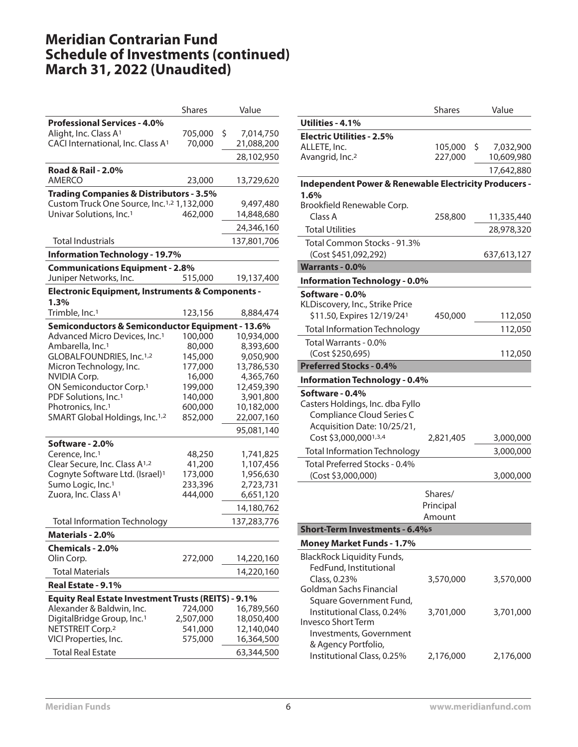# **Meridian Contrarian Fund Schedule of Investments (continued) March 31, 2022 (Unaudited)**

|                                                                                               | <b>Shares</b> | Value                   |
|-----------------------------------------------------------------------------------------------|---------------|-------------------------|
| <b>Professional Services - 4.0%</b>                                                           |               |                         |
| Alight, Inc. Class A <sup>1</sup>                                                             | 705,000       | \$<br>7,014,750         |
| CACI International, Inc. Class A <sup>1</sup>                                                 | 70,000        | 21,088,200              |
|                                                                                               |               | 28,102,950              |
| <b>Road &amp; Rail - 2.0%</b>                                                                 |               |                         |
| <b>AMERCO</b>                                                                                 | 23,000        | 13,729,620              |
|                                                                                               |               |                         |
| <b>Trading Companies &amp; Distributors - 3.5%</b>                                            |               |                         |
| Custom Truck One Source, Inc. <sup>1,2</sup> 1,132,000<br>Univar Solutions, Inc. <sup>1</sup> | 462,000       | 9,497,480<br>14,848,680 |
|                                                                                               |               |                         |
|                                                                                               |               | 24,346,160              |
| <b>Total Industrials</b>                                                                      |               | 137,801,706             |
| <b>Information Technology - 19.7%</b>                                                         |               |                         |
| <b>Communications Equipment - 2.8%</b>                                                        |               |                         |
| Juniper Networks, Inc.                                                                        | 515,000       | 19,137,400              |
| <b>Electronic Equipment, Instruments &amp; Components -</b>                                   |               |                         |
| 1.3%                                                                                          |               |                         |
| Trimble, Inc. <sup>1</sup>                                                                    | 123,156       | 8,884,474               |
| Semiconductors & Semiconductor Equipment - 13.6%                                              |               |                         |
| Advanced Micro Devices, Inc. <sup>1</sup>                                                     | 100,000       | 10,934,000              |
| Ambarella, Inc. <sup>1</sup>                                                                  | 80,000        | 8,393,600               |
| GLOBALFOUNDRIES, Inc.1,2                                                                      | 145,000       | 9,050,900               |
| Micron Technology, Inc.                                                                       | 177,000       | 13,786,530              |
| <b>NVIDIA Corp.</b>                                                                           | 16,000        | 4,365,760               |
| ON Semiconductor Corp. <sup>1</sup>                                                           | 199,000       | 12,459,390              |
| PDF Solutions, Inc. <sup>1</sup>                                                              | 140,000       | 3,901,800               |
| Photronics, Inc. <sup>1</sup>                                                                 | 600,000       | 10,182,000              |
| SMART Global Holdings, Inc. <sup>1,2</sup>                                                    | 852,000       | 22,007,160              |
|                                                                                               |               | 95,081,140              |
| Software - 2.0%                                                                               |               |                         |
| Cerence, Inc. <sup>1</sup>                                                                    | 48,250        | 1,741,825               |
| Clear Secure, Inc. Class A1,2                                                                 | 41,200        | 1,107,456               |
| Cognyte Software Ltd. (Israel) <sup>1</sup>                                                   | 173,000       | 1,956,630               |
| Sumo Logic, Inc. <sup>1</sup>                                                                 | 233,396       | 2,723,731               |
| Zuora, Inc. Class A <sup>1</sup>                                                              | 444,000       | 6,651,120               |
|                                                                                               |               | 14,180,762              |
| <b>Total Information Technology</b>                                                           |               | 137,283,776             |
| Materials - 2.0%                                                                              |               |                         |
| Chemicals - 2.0%                                                                              |               |                         |
| Olin Corp.                                                                                    | 272,000       | 14,220,160              |
| <b>Total Materials</b>                                                                        |               | 14,220,160              |
|                                                                                               |               |                         |
| Real Estate - 9.1%                                                                            |               |                         |
| <b>Equity Real Estate Investment Trusts (REITS) - 9.1%</b>                                    |               |                         |
| Alexander & Baldwin, Inc.                                                                     | 724,000       | 16,789,560              |
| DigitalBridge Group, Inc. <sup>1</sup>                                                        | 2,507,000     | 18,050,400              |
| NETSTREIT Corp. <sup>2</sup>                                                                  | 541,000       | 12,140,040              |
| VICI Properties, Inc.                                                                         | 575,000       | 16,364,500              |
| <b>Total Real Estate</b>                                                                      |               | 63,344,500              |

|                                                                  | <b>Shares</b> | Value            |
|------------------------------------------------------------------|---------------|------------------|
| Utilities - 4.1%                                                 |               |                  |
| <b>Electric Utilities - 2.5%</b>                                 |               |                  |
| ALLETE, Inc.                                                     | 105,000       | \$.<br>7,032,900 |
| Avangrid, Inc. <sup>2</sup>                                      | 227,000       | 10,609,980       |
|                                                                  |               | 17,642,880       |
| <b>Independent Power &amp; Renewable Electricity Producers -</b> |               |                  |
| 1.6%                                                             |               |                  |
| Brookfield Renewable Corp.                                       |               |                  |
| Class A                                                          | 258,800       | 11,335,440       |
| <b>Total Utilities</b>                                           |               | 28,978,320       |
| Total Common Stocks - 91.3%                                      |               |                  |
| (Cost \$451,092,292)                                             |               | 637,613,127      |
| <b>Warrants - 0.0%</b>                                           |               |                  |
| <b>Information Technology - 0.0%</b>                             |               |                  |
| Software - 0.0%                                                  |               |                  |
| KLDiscovery, Inc., Strike Price                                  |               |                  |
| \$11.50, Expires 12/19/24 <sup>1</sup>                           | 450,000       | 112,050          |
| <b>Total Information Technology</b>                              |               | 112,050          |
| Total Warrants - 0.0%                                            |               |                  |
| (Cost \$250,695)                                                 |               | 112,050          |
| <b>Preferred Stocks - 0.4%</b>                                   |               |                  |
| <b>Information Technology - 0.4%</b>                             |               |                  |
| Software - 0.4%                                                  |               |                  |
| Casters Holdings, Inc. dba Fyllo                                 |               |                  |
| Compliance Cloud Series C                                        |               |                  |
| Acquisition Date: 10/25/21,                                      |               |                  |
| Cost \$3,000,0001,3,4                                            | 2,821,405     | 3,000,000        |
| Total Information Technology                                     |               | 3,000,000        |
| Total Preferred Stocks - 0.4%                                    |               |                  |
| (Cost \$3,000,000)                                               |               | 3,000,000        |
|                                                                  | Shares/       |                  |
|                                                                  | Principal     |                  |
|                                                                  | Amount        |                  |
| <b>Short-Term Investments - 6.4%</b>                             |               |                  |
| <b>Money Market Funds - 1.7%</b>                                 |               |                  |
| <b>BlackRock Liquidity Funds,</b>                                |               |                  |
| FedFund, Institutional                                           |               |                  |
| Class, 0.23%                                                     | 3,570,000     | 3,570,000        |
| Goldman Sachs Financial                                          |               |                  |
| Square Government Fund,                                          |               |                  |
| Institutional Class, 0.24%                                       | 3,701,000     | 3,701,000        |
| Invesco Short Term                                               |               |                  |
| Investments, Government<br>& Agency Portfolio,                   |               |                  |
|                                                                  |               |                  |
| Institutional Class, 0.25%                                       | 2,176,000     | 2,176,000        |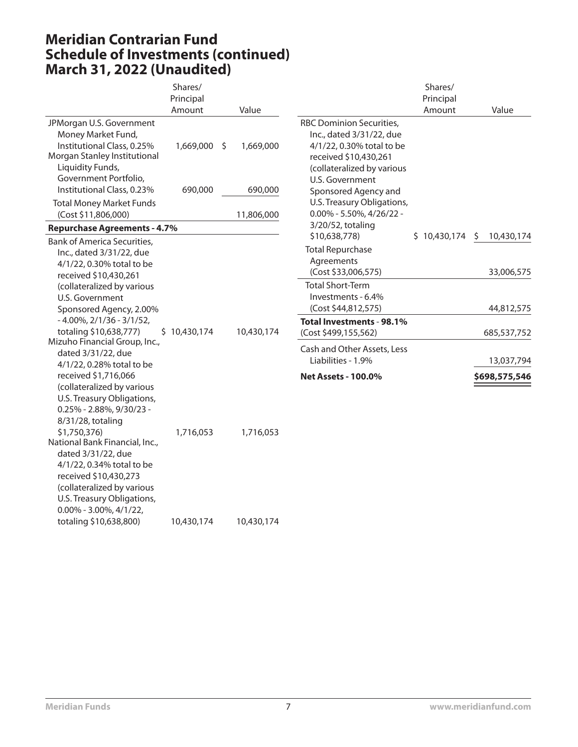# **Meridian Contrarian Fund Schedule of Investments (continued) March 31, 2022 (Unaudited)**

|                                                                                                                                                                               | Shares/      |    |            |                                                                                                                                                                    | Shares/      |                                |
|-------------------------------------------------------------------------------------------------------------------------------------------------------------------------------|--------------|----|------------|--------------------------------------------------------------------------------------------------------------------------------------------------------------------|--------------|--------------------------------|
|                                                                                                                                                                               | Principal    |    |            |                                                                                                                                                                    | Principal    |                                |
|                                                                                                                                                                               | Amount       |    | Value      |                                                                                                                                                                    | Amount       | Value                          |
| JPMorgan U.S. Government<br>Money Market Fund,<br>Institutional Class, 0.25%<br>Morgan Stanley Institutional<br>Liquidity Funds,<br>Government Portfolio,                     | 1,669,000    | Ŝ. | 1,669,000  | <b>RBC Dominion Securities,</b><br>Inc., dated 3/31/22, due<br>4/1/22, 0.30% total to be<br>received \$10,430,261<br>(collateralized by various<br>U.S. Government |              |                                |
| Institutional Class, 0.23%                                                                                                                                                    | 690,000      |    | 690,000    | Sponsored Agency and                                                                                                                                               |              |                                |
| <b>Total Money Market Funds</b><br>(Cost \$11,806,000)                                                                                                                        |              |    | 11,806,000 | U.S. Treasury Obligations,<br>$0.00\%$ - 5.50%, 4/26/22 -                                                                                                          |              |                                |
| <b>Repurchase Agreements - 4.7%</b>                                                                                                                                           |              |    |            | 3/20/52, totaling                                                                                                                                                  |              |                                |
| <b>Bank of America Securities,</b><br>Inc., dated 3/31/22, due<br>4/1/22, 0.30% total to be                                                                                   |              |    |            | \$10,638,778)<br><b>Total Repurchase</b><br>Agreements<br>(Cost \$33,006,575)                                                                                      | \$10,430,174 | 10,430,174<br>\$<br>33,006,575 |
| received \$10,430,261<br>(collateralized by various<br>U.S. Government<br>Sponsored Agency, 2.00%                                                                             |              |    |            | <b>Total Short-Term</b><br>Investments - 6.4%<br>(Cost \$44,812,575)                                                                                               |              | 44,812,575                     |
| $-4.00\%$ , 2/1/36 - 3/1/52,<br>totaling \$10,638,777)                                                                                                                        | \$10,430,174 |    | 10,430,174 | Total Investments - 98.1%<br>(Cost \$499,155,562)                                                                                                                  |              | 685,537,752                    |
| Mizuho Financial Group, Inc.,<br>dated 3/31/22, due<br>4/1/22, 0.28% total to be                                                                                              |              |    |            | Cash and Other Assets, Less<br>Liabilities - 1.9%                                                                                                                  |              | 13,037,794                     |
| received \$1,716,066<br>(collateralized by various<br>U.S. Treasury Obligations,<br>$0.25\%$ - 2.88%, 9/30/23 -                                                               |              |    |            | <b>Net Assets - 100.0%</b>                                                                                                                                         |              | \$698,575,546                  |
| 8/31/28, totaling<br>\$1,750,376)<br>National Bank Financial, Inc.,<br>dated 3/31/22, due<br>4/1/22, 0.34% total to be<br>received \$10,430,273<br>(collateralized by various | 1,716,053    |    | 1,716,053  |                                                                                                                                                                    |              |                                |

totaling \$10,638,800) 10,430,174 10,430,174

U.S. Treasury Obligations, 0.00% - 3.00%, 4/1/22,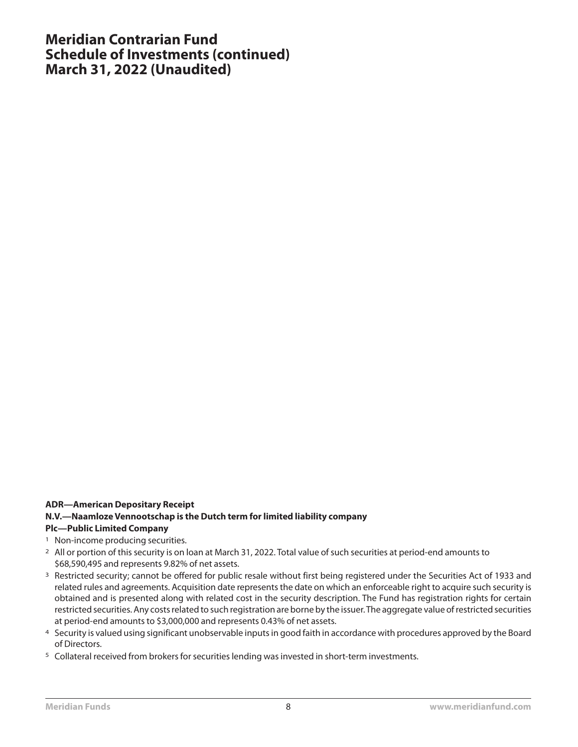#### **Meridian Contrarian Fund Schedule of Investments (continued) March 31, 2022 (Unaudited)**

#### **ADR—American Depositary Receipt**

#### **N.V.—Naamloze Vennootschap is the Dutch term for limited liability company**

- <sup>1</sup> Non-income producing securities.
- 2 All or portion of this security is on loan at March 31, 2022. Total value of such securities at period-end amounts to \$68,590,495 and represents 9.82% of net assets.
- <sup>3</sup> Restricted security; cannot be offered for public resale without first being registered under the Securities Act of 1933 and related rules and agreements. Acquisition date represents the date on which an enforceable right to acquire such security is obtained and is presented along with related cost in the security description. The Fund has registration rights for certain restricted securities. Any costs related to such registration are borne by the issuer.The aggregate value of restricted securities at period-end amounts to \$3,000,000 and represents 0.43% of net assets.
- 4 Security is valued using significant unobservable inputs in good faith in accordance with procedures approved by the Board of Directors.
- 5 Collateral received from brokers for securities lending was invested in short-term investments.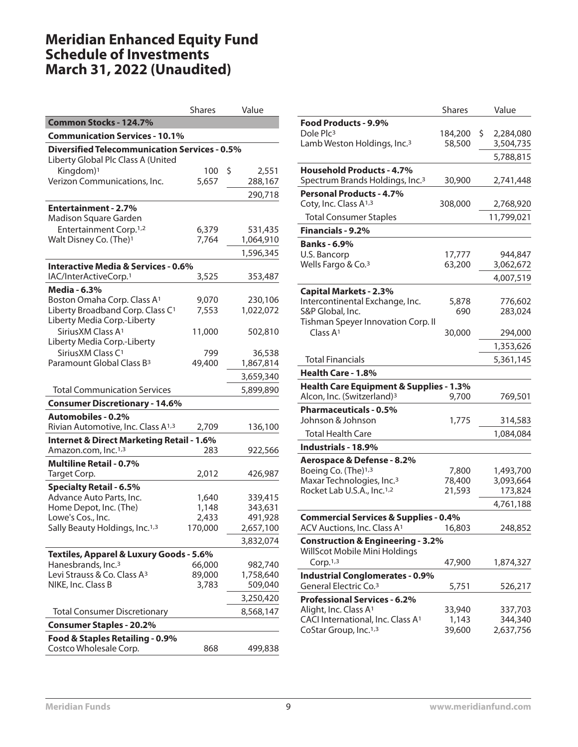## **Meridian Enhanced Equity Fund Schedule of Investments March 31, 2022 (Unaudited)**

|                                                                         | <b>Shares</b> | Value       |
|-------------------------------------------------------------------------|---------------|-------------|
| Common Stocks - 124.7%                                                  |               |             |
| <b>Communication Services - 10.1%</b>                                   |               |             |
| <b>Diversified Telecommunication Services - 0.5%</b>                    |               |             |
| Liberty Global Plc Class A (United                                      |               |             |
| Kingdom) <sup>1</sup>                                                   | 100           | \$<br>2,551 |
| Verizon Communications, Inc.                                            | 5,657         | 288,167     |
|                                                                         |               | 290,718     |
| <b>Entertainment - 2.7%</b>                                             |               |             |
| Madison Square Garden                                                   |               |             |
| Entertainment Corp. <sup>1,2</sup>                                      | 6,379         | 531,435     |
| Walt Disney Co. (The) <sup>1</sup>                                      | 7,764         | 1,064,910   |
|                                                                         |               | 1,596,345   |
| <b>Interactive Media &amp; Services - 0.6%</b>                          |               |             |
| IAC/InterActiveCorp.1                                                   | 3,525         | 353,487     |
| Media - 6.3%                                                            |               |             |
| Boston Omaha Corp. Class A <sup>1</sup>                                 | 9,070         | 230,106     |
| Liberty Broadband Corp. Class C <sup>1</sup>                            | 7,553         | 1,022,072   |
| Liberty Media Corp.-Liberty                                             |               |             |
| Sirius XM Class A <sup>1</sup>                                          | 11,000        | 502,810     |
| Liberty Media Corp.-Liberty                                             |               |             |
| Sirius XM Class C <sup>1</sup><br>Paramount Global Class B <sup>3</sup> | 799<br>49,400 | 36,538      |
|                                                                         |               | 1,867,814   |
|                                                                         |               | 3,659,340   |
| <b>Total Communication Services</b>                                     |               | 5,899,890   |
| <b>Consumer Discretionary - 14.6%</b>                                   |               |             |
| <b>Automobiles - 0.2%</b>                                               |               |             |
| Rivian Automotive, Inc. Class A <sup>1,3</sup>                          | 2,709         | 136,100     |
| <b>Internet &amp; Direct Marketing Retail - 1.6%</b>                    |               |             |
| Amazon.com, Inc. <sup>1,3</sup>                                         | 283           | 922,566     |
| <b>Multiline Retail - 0.7%</b>                                          |               |             |
| Target Corp.                                                            | 2,012         | 426,987     |
| <b>Specialty Retail - 6.5%</b>                                          |               |             |
| Advance Auto Parts, Inc.                                                | 1,640         | 339,415     |
| Home Depot, Inc. (The)                                                  | 1,148         | 343,631     |
| Lowe's Cos., Inc.                                                       | 2,433         | 491,928     |
| Sally Beauty Holdings, Inc. <sup>1,3</sup>                              | 170,000       | 2,657,100   |
|                                                                         |               | 3,832,074   |
| Textiles, Apparel & Luxury Goods - 5.6%                                 |               |             |
| Hanesbrands, Inc. <sup>3</sup>                                          | 66,000        | 982,740     |
| Levi Strauss & Co. Class A <sup>3</sup>                                 | 89,000        | 1,758,640   |
| NIKE, Inc. Class B                                                      | 3,783         | 509,040     |
|                                                                         |               | 3,250,420   |
| <b>Total Consumer Discretionary</b>                                     |               | 8,568,147   |
| <b>Consumer Staples - 20.2%</b>                                         |               |             |
| Food & Staples Retailing - 0.9%                                         |               |             |
| Costco Wholesale Corp.                                                  | 868           | 499,838     |

|                                                                                    | <b>Shares</b>   | Value              |
|------------------------------------------------------------------------------------|-----------------|--------------------|
| Food Products - 9.9%                                                               |                 |                    |
| Dole Plc <sup>3</sup>                                                              | 184,200         | \$<br>2,284,080    |
| Lamb Weston Holdings, Inc. <sup>3</sup>                                            | 58,500          | 3,504,735          |
|                                                                                    |                 | 5,788,815          |
| <b>Household Products - 4.7%</b>                                                   |                 |                    |
| Spectrum Brands Holdings, Inc. <sup>3</sup>                                        | 30,900          | 2,741,448          |
| <b>Personal Products - 4.7%</b>                                                    |                 |                    |
| Coty, Inc. Class A <sup>1,3</sup>                                                  | 308,000         | 2,768,920          |
| <b>Total Consumer Staples</b>                                                      |                 | 11,799,021         |
| Financials - 9.2%                                                                  |                 |                    |
| <b>Banks - 6.9%</b>                                                                |                 |                    |
| U.S. Bancorp                                                                       | 17,777          | 944,847            |
| Wells Fargo & Co. <sup>3</sup>                                                     | 63,200          | 3,062,672          |
|                                                                                    |                 | 4,007,519          |
| <b>Capital Markets - 2.3%</b>                                                      |                 |                    |
| Intercontinental Exchange, Inc.                                                    | 5,878           | 776,602            |
| S&P Global, Inc.                                                                   | 690             | 283,024            |
| Tishman Speyer Innovation Corp. II                                                 |                 |                    |
| Class A <sub>1</sub>                                                               | 30,000          | 294,000            |
|                                                                                    |                 | 1,353,626          |
| <b>Total Financials</b>                                                            |                 | 5,361,145          |
| Health Care - 1.8%                                                                 |                 |                    |
| Health Care Equipment & Supplies - 1.3%                                            |                 |                    |
| Alcon, Inc. (Switzerland) <sup>3</sup>                                             | 9,700           | 769,501            |
| <b>Pharmaceuticals - 0.5%</b>                                                      |                 |                    |
| Johnson & Johnson                                                                  | 1,775           | 314,583            |
| <b>Total Health Care</b>                                                           |                 | 1,084,084          |
| Industrials - 18.9%                                                                |                 |                    |
| Aerospace & Defense - 8.2%                                                         |                 |                    |
| Boeing Co. (The)1,3                                                                | 7,800           | 1,493,700          |
| Maxar Technologies, Inc. <sup>3</sup>                                              | 78,400          | 3,093,664          |
| Rocket Lab U.S.A., Inc. <sup>1,2</sup>                                             | 21,593          | 173,824            |
|                                                                                    |                 | 4,761,188          |
| <b>Commercial Services &amp; Supplies - 0.4%</b>                                   |                 |                    |
| $ACV$ Auctions, Inc. Class $A1$ 16,803                                             |                 | 248,852            |
| <b>Construction &amp; Engineering - 3.2%</b>                                       |                 |                    |
| WillScot Mobile Mini Holdings                                                      |                 |                    |
| Corp.1,3                                                                           | 47,900          | 1,874,327          |
| <b>Industrial Conglomerates - 0.9%</b>                                             |                 |                    |
| General Electric Co. <sup>3</sup>                                                  | 5,751           | 526,217            |
| <b>Professional Services - 6.2%</b>                                                |                 |                    |
| Alight, Inc. Class A <sup>1</sup><br>CACI International, Inc. Class A <sup>1</sup> | 33,940          | 337,703<br>344,340 |
| CoStar Group, Inc. <sup>1,3</sup>                                                  | 1,143<br>39,600 | 2,637,756          |
|                                                                                    |                 |                    |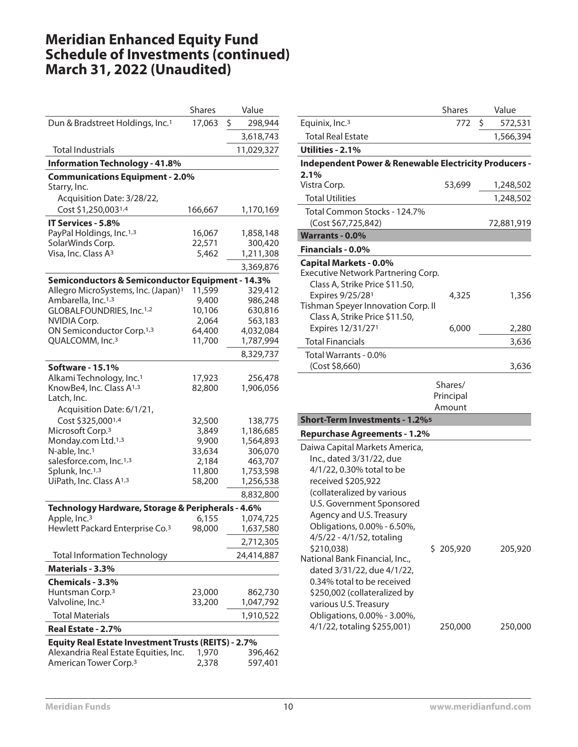## **Meridian Enhanced Equity Fund Schedule of Investments (continued) March 31, 2022 (Unaudited)**

| Dun & Bradstreet Holdings, Inc. <sup>1</sup><br>17,063<br>\$<br>298,944<br>3,618,743<br><b>Total Industrials</b><br>11,029,327<br><b>Information Technology - 41.8%</b><br><b>Communications Equipment - 2.0%</b><br>Starry, Inc.<br>Acquisition Date: 3/28/22,<br>Cost \$1,250,0031,4<br>166,667<br>1,170,169<br>IT Services - 5.8%<br>PayPal Holdings, Inc.1,3<br>16,067<br>1,858,148<br>SolarWinds Corp.<br>22,571<br>300,420<br>Visa, Inc. Class A <sup>3</sup><br>5,462<br>1,211,308<br>3,369,876<br>Semiconductors & Semiconductor Equipment - 14.3%<br>Allegro MicroSystems, Inc. (Japan) <sup>1</sup><br>11,599<br>329,412<br>Ambarella, Inc. <sup>1,3</sup><br>986,248<br>9,400<br>GLOBALFOUNDRIES, Inc.1,2<br>10,106<br>630,816<br><b>NVIDIA Corp.</b><br>2,064<br>563,183<br>ON Semiconductor Corp. <sup>1,3</sup><br>64,400<br>4,032,084<br>QUALCOMM, Inc. <sup>3</sup><br>11,700<br>1,787,994<br>8,329,737<br><b>Software - 15.1%</b><br>Alkami Technology, Inc. <sup>1</sup><br>17,923<br>256,478<br>KnowBe4, Inc. Class A <sup>1,3</sup><br>82,800<br>1,906,056<br>Latch, Inc.<br>Acquisition Date: 6/1/21,<br>Cost \$325,0001,4<br>32,500<br>138,775<br>Microsoft Corp. <sup>3</sup><br>1,186,685<br>3,849<br>1,564,893<br>Monday.com Ltd. <sup>1,3</sup><br>9,900<br>N-able, Inc. <sup>1</sup><br>33,634<br>306,070<br>salesforce.com, Inc. <sup>1,3</sup><br>2,184<br>463,707<br>Splunk, Inc.1,3<br>11,800<br>1,753,598<br>UiPath, Inc. Class A <sup>1,3</sup><br>58,200<br>1,256,538<br>8,832,800<br>Technology Hardware, Storage & Peripherals - 4.6%<br>Apple, Inc. <sup>3</sup><br>6,155<br>1,074,725<br>Hewlett Packard Enterprise Co. <sup>3</sup><br>1,637,580<br>98,000<br>2,712,305<br><b>Total Information Technology</b><br>24,414,887<br>Materials - 3.3%<br>Chemicals - 3.3%<br>Huntsman Corp. <sup>3</sup><br>23,000<br>862,730<br>Valvoline, Inc. <sup>3</sup><br>33,200<br>1,047,792<br><b>Total Materials</b><br>1,910,522<br>Real Estate - 2.7%<br>Equity Real Estate Investment Trusts (REITS) - 2.7%<br>Alexandria Real Estate Equities, Inc.<br>1,970<br>396,462<br>American Tower Corp. <sup>3</sup><br>2,378<br>597,401 | <b>Shares</b> | Value |
|------------------------------------------------------------------------------------------------------------------------------------------------------------------------------------------------------------------------------------------------------------------------------------------------------------------------------------------------------------------------------------------------------------------------------------------------------------------------------------------------------------------------------------------------------------------------------------------------------------------------------------------------------------------------------------------------------------------------------------------------------------------------------------------------------------------------------------------------------------------------------------------------------------------------------------------------------------------------------------------------------------------------------------------------------------------------------------------------------------------------------------------------------------------------------------------------------------------------------------------------------------------------------------------------------------------------------------------------------------------------------------------------------------------------------------------------------------------------------------------------------------------------------------------------------------------------------------------------------------------------------------------------------------------------------------------------------------------------------------------------------------------------------------------------------------------------------------------------------------------------------------------------------------------------------------------------------------------------------------------------------------------------------------------------------------------------------------------------------------------------------------------------------------------|---------------|-------|
|                                                                                                                                                                                                                                                                                                                                                                                                                                                                                                                                                                                                                                                                                                                                                                                                                                                                                                                                                                                                                                                                                                                                                                                                                                                                                                                                                                                                                                                                                                                                                                                                                                                                                                                                                                                                                                                                                                                                                                                                                                                                                                                                                                  |               |       |
|                                                                                                                                                                                                                                                                                                                                                                                                                                                                                                                                                                                                                                                                                                                                                                                                                                                                                                                                                                                                                                                                                                                                                                                                                                                                                                                                                                                                                                                                                                                                                                                                                                                                                                                                                                                                                                                                                                                                                                                                                                                                                                                                                                  |               |       |
|                                                                                                                                                                                                                                                                                                                                                                                                                                                                                                                                                                                                                                                                                                                                                                                                                                                                                                                                                                                                                                                                                                                                                                                                                                                                                                                                                                                                                                                                                                                                                                                                                                                                                                                                                                                                                                                                                                                                                                                                                                                                                                                                                                  |               |       |
|                                                                                                                                                                                                                                                                                                                                                                                                                                                                                                                                                                                                                                                                                                                                                                                                                                                                                                                                                                                                                                                                                                                                                                                                                                                                                                                                                                                                                                                                                                                                                                                                                                                                                                                                                                                                                                                                                                                                                                                                                                                                                                                                                                  |               |       |
|                                                                                                                                                                                                                                                                                                                                                                                                                                                                                                                                                                                                                                                                                                                                                                                                                                                                                                                                                                                                                                                                                                                                                                                                                                                                                                                                                                                                                                                                                                                                                                                                                                                                                                                                                                                                                                                                                                                                                                                                                                                                                                                                                                  |               |       |
|                                                                                                                                                                                                                                                                                                                                                                                                                                                                                                                                                                                                                                                                                                                                                                                                                                                                                                                                                                                                                                                                                                                                                                                                                                                                                                                                                                                                                                                                                                                                                                                                                                                                                                                                                                                                                                                                                                                                                                                                                                                                                                                                                                  |               |       |
|                                                                                                                                                                                                                                                                                                                                                                                                                                                                                                                                                                                                                                                                                                                                                                                                                                                                                                                                                                                                                                                                                                                                                                                                                                                                                                                                                                                                                                                                                                                                                                                                                                                                                                                                                                                                                                                                                                                                                                                                                                                                                                                                                                  |               |       |
|                                                                                                                                                                                                                                                                                                                                                                                                                                                                                                                                                                                                                                                                                                                                                                                                                                                                                                                                                                                                                                                                                                                                                                                                                                                                                                                                                                                                                                                                                                                                                                                                                                                                                                                                                                                                                                                                                                                                                                                                                                                                                                                                                                  |               |       |
|                                                                                                                                                                                                                                                                                                                                                                                                                                                                                                                                                                                                                                                                                                                                                                                                                                                                                                                                                                                                                                                                                                                                                                                                                                                                                                                                                                                                                                                                                                                                                                                                                                                                                                                                                                                                                                                                                                                                                                                                                                                                                                                                                                  |               |       |
|                                                                                                                                                                                                                                                                                                                                                                                                                                                                                                                                                                                                                                                                                                                                                                                                                                                                                                                                                                                                                                                                                                                                                                                                                                                                                                                                                                                                                                                                                                                                                                                                                                                                                                                                                                                                                                                                                                                                                                                                                                                                                                                                                                  |               |       |
|                                                                                                                                                                                                                                                                                                                                                                                                                                                                                                                                                                                                                                                                                                                                                                                                                                                                                                                                                                                                                                                                                                                                                                                                                                                                                                                                                                                                                                                                                                                                                                                                                                                                                                                                                                                                                                                                                                                                                                                                                                                                                                                                                                  |               |       |
|                                                                                                                                                                                                                                                                                                                                                                                                                                                                                                                                                                                                                                                                                                                                                                                                                                                                                                                                                                                                                                                                                                                                                                                                                                                                                                                                                                                                                                                                                                                                                                                                                                                                                                                                                                                                                                                                                                                                                                                                                                                                                                                                                                  |               |       |
|                                                                                                                                                                                                                                                                                                                                                                                                                                                                                                                                                                                                                                                                                                                                                                                                                                                                                                                                                                                                                                                                                                                                                                                                                                                                                                                                                                                                                                                                                                                                                                                                                                                                                                                                                                                                                                                                                                                                                                                                                                                                                                                                                                  |               |       |
|                                                                                                                                                                                                                                                                                                                                                                                                                                                                                                                                                                                                                                                                                                                                                                                                                                                                                                                                                                                                                                                                                                                                                                                                                                                                                                                                                                                                                                                                                                                                                                                                                                                                                                                                                                                                                                                                                                                                                                                                                                                                                                                                                                  |               |       |
|                                                                                                                                                                                                                                                                                                                                                                                                                                                                                                                                                                                                                                                                                                                                                                                                                                                                                                                                                                                                                                                                                                                                                                                                                                                                                                                                                                                                                                                                                                                                                                                                                                                                                                                                                                                                                                                                                                                                                                                                                                                                                                                                                                  |               |       |
|                                                                                                                                                                                                                                                                                                                                                                                                                                                                                                                                                                                                                                                                                                                                                                                                                                                                                                                                                                                                                                                                                                                                                                                                                                                                                                                                                                                                                                                                                                                                                                                                                                                                                                                                                                                                                                                                                                                                                                                                                                                                                                                                                                  |               |       |
|                                                                                                                                                                                                                                                                                                                                                                                                                                                                                                                                                                                                                                                                                                                                                                                                                                                                                                                                                                                                                                                                                                                                                                                                                                                                                                                                                                                                                                                                                                                                                                                                                                                                                                                                                                                                                                                                                                                                                                                                                                                                                                                                                                  |               |       |
|                                                                                                                                                                                                                                                                                                                                                                                                                                                                                                                                                                                                                                                                                                                                                                                                                                                                                                                                                                                                                                                                                                                                                                                                                                                                                                                                                                                                                                                                                                                                                                                                                                                                                                                                                                                                                                                                                                                                                                                                                                                                                                                                                                  |               |       |
|                                                                                                                                                                                                                                                                                                                                                                                                                                                                                                                                                                                                                                                                                                                                                                                                                                                                                                                                                                                                                                                                                                                                                                                                                                                                                                                                                                                                                                                                                                                                                                                                                                                                                                                                                                                                                                                                                                                                                                                                                                                                                                                                                                  |               |       |
|                                                                                                                                                                                                                                                                                                                                                                                                                                                                                                                                                                                                                                                                                                                                                                                                                                                                                                                                                                                                                                                                                                                                                                                                                                                                                                                                                                                                                                                                                                                                                                                                                                                                                                                                                                                                                                                                                                                                                                                                                                                                                                                                                                  |               |       |
|                                                                                                                                                                                                                                                                                                                                                                                                                                                                                                                                                                                                                                                                                                                                                                                                                                                                                                                                                                                                                                                                                                                                                                                                                                                                                                                                                                                                                                                                                                                                                                                                                                                                                                                                                                                                                                                                                                                                                                                                                                                                                                                                                                  |               |       |
|                                                                                                                                                                                                                                                                                                                                                                                                                                                                                                                                                                                                                                                                                                                                                                                                                                                                                                                                                                                                                                                                                                                                                                                                                                                                                                                                                                                                                                                                                                                                                                                                                                                                                                                                                                                                                                                                                                                                                                                                                                                                                                                                                                  |               |       |
|                                                                                                                                                                                                                                                                                                                                                                                                                                                                                                                                                                                                                                                                                                                                                                                                                                                                                                                                                                                                                                                                                                                                                                                                                                                                                                                                                                                                                                                                                                                                                                                                                                                                                                                                                                                                                                                                                                                                                                                                                                                                                                                                                                  |               |       |
|                                                                                                                                                                                                                                                                                                                                                                                                                                                                                                                                                                                                                                                                                                                                                                                                                                                                                                                                                                                                                                                                                                                                                                                                                                                                                                                                                                                                                                                                                                                                                                                                                                                                                                                                                                                                                                                                                                                                                                                                                                                                                                                                                                  |               |       |
|                                                                                                                                                                                                                                                                                                                                                                                                                                                                                                                                                                                                                                                                                                                                                                                                                                                                                                                                                                                                                                                                                                                                                                                                                                                                                                                                                                                                                                                                                                                                                                                                                                                                                                                                                                                                                                                                                                                                                                                                                                                                                                                                                                  |               |       |
|                                                                                                                                                                                                                                                                                                                                                                                                                                                                                                                                                                                                                                                                                                                                                                                                                                                                                                                                                                                                                                                                                                                                                                                                                                                                                                                                                                                                                                                                                                                                                                                                                                                                                                                                                                                                                                                                                                                                                                                                                                                                                                                                                                  |               |       |
|                                                                                                                                                                                                                                                                                                                                                                                                                                                                                                                                                                                                                                                                                                                                                                                                                                                                                                                                                                                                                                                                                                                                                                                                                                                                                                                                                                                                                                                                                                                                                                                                                                                                                                                                                                                                                                                                                                                                                                                                                                                                                                                                                                  |               |       |
|                                                                                                                                                                                                                                                                                                                                                                                                                                                                                                                                                                                                                                                                                                                                                                                                                                                                                                                                                                                                                                                                                                                                                                                                                                                                                                                                                                                                                                                                                                                                                                                                                                                                                                                                                                                                                                                                                                                                                                                                                                                                                                                                                                  |               |       |
|                                                                                                                                                                                                                                                                                                                                                                                                                                                                                                                                                                                                                                                                                                                                                                                                                                                                                                                                                                                                                                                                                                                                                                                                                                                                                                                                                                                                                                                                                                                                                                                                                                                                                                                                                                                                                                                                                                                                                                                                                                                                                                                                                                  |               |       |
|                                                                                                                                                                                                                                                                                                                                                                                                                                                                                                                                                                                                                                                                                                                                                                                                                                                                                                                                                                                                                                                                                                                                                                                                                                                                                                                                                                                                                                                                                                                                                                                                                                                                                                                                                                                                                                                                                                                                                                                                                                                                                                                                                                  |               |       |
|                                                                                                                                                                                                                                                                                                                                                                                                                                                                                                                                                                                                                                                                                                                                                                                                                                                                                                                                                                                                                                                                                                                                                                                                                                                                                                                                                                                                                                                                                                                                                                                                                                                                                                                                                                                                                                                                                                                                                                                                                                                                                                                                                                  |               |       |
|                                                                                                                                                                                                                                                                                                                                                                                                                                                                                                                                                                                                                                                                                                                                                                                                                                                                                                                                                                                                                                                                                                                                                                                                                                                                                                                                                                                                                                                                                                                                                                                                                                                                                                                                                                                                                                                                                                                                                                                                                                                                                                                                                                  |               |       |
|                                                                                                                                                                                                                                                                                                                                                                                                                                                                                                                                                                                                                                                                                                                                                                                                                                                                                                                                                                                                                                                                                                                                                                                                                                                                                                                                                                                                                                                                                                                                                                                                                                                                                                                                                                                                                                                                                                                                                                                                                                                                                                                                                                  |               |       |
|                                                                                                                                                                                                                                                                                                                                                                                                                                                                                                                                                                                                                                                                                                                                                                                                                                                                                                                                                                                                                                                                                                                                                                                                                                                                                                                                                                                                                                                                                                                                                                                                                                                                                                                                                                                                                                                                                                                                                                                                                                                                                                                                                                  |               |       |
|                                                                                                                                                                                                                                                                                                                                                                                                                                                                                                                                                                                                                                                                                                                                                                                                                                                                                                                                                                                                                                                                                                                                                                                                                                                                                                                                                                                                                                                                                                                                                                                                                                                                                                                                                                                                                                                                                                                                                                                                                                                                                                                                                                  |               |       |
|                                                                                                                                                                                                                                                                                                                                                                                                                                                                                                                                                                                                                                                                                                                                                                                                                                                                                                                                                                                                                                                                                                                                                                                                                                                                                                                                                                                                                                                                                                                                                                                                                                                                                                                                                                                                                                                                                                                                                                                                                                                                                                                                                                  |               |       |
|                                                                                                                                                                                                                                                                                                                                                                                                                                                                                                                                                                                                                                                                                                                                                                                                                                                                                                                                                                                                                                                                                                                                                                                                                                                                                                                                                                                                                                                                                                                                                                                                                                                                                                                                                                                                                                                                                                                                                                                                                                                                                                                                                                  |               |       |
|                                                                                                                                                                                                                                                                                                                                                                                                                                                                                                                                                                                                                                                                                                                                                                                                                                                                                                                                                                                                                                                                                                                                                                                                                                                                                                                                                                                                                                                                                                                                                                                                                                                                                                                                                                                                                                                                                                                                                                                                                                                                                                                                                                  |               |       |
|                                                                                                                                                                                                                                                                                                                                                                                                                                                                                                                                                                                                                                                                                                                                                                                                                                                                                                                                                                                                                                                                                                                                                                                                                                                                                                                                                                                                                                                                                                                                                                                                                                                                                                                                                                                                                                                                                                                                                                                                                                                                                                                                                                  |               |       |
|                                                                                                                                                                                                                                                                                                                                                                                                                                                                                                                                                                                                                                                                                                                                                                                                                                                                                                                                                                                                                                                                                                                                                                                                                                                                                                                                                                                                                                                                                                                                                                                                                                                                                                                                                                                                                                                                                                                                                                                                                                                                                                                                                                  |               |       |
|                                                                                                                                                                                                                                                                                                                                                                                                                                                                                                                                                                                                                                                                                                                                                                                                                                                                                                                                                                                                                                                                                                                                                                                                                                                                                                                                                                                                                                                                                                                                                                                                                                                                                                                                                                                                                                                                                                                                                                                                                                                                                                                                                                  |               |       |
|                                                                                                                                                                                                                                                                                                                                                                                                                                                                                                                                                                                                                                                                                                                                                                                                                                                                                                                                                                                                                                                                                                                                                                                                                                                                                                                                                                                                                                                                                                                                                                                                                                                                                                                                                                                                                                                                                                                                                                                                                                                                                                                                                                  |               |       |
|                                                                                                                                                                                                                                                                                                                                                                                                                                                                                                                                                                                                                                                                                                                                                                                                                                                                                                                                                                                                                                                                                                                                                                                                                                                                                                                                                                                                                                                                                                                                                                                                                                                                                                                                                                                                                                                                                                                                                                                                                                                                                                                                                                  |               |       |
|                                                                                                                                                                                                                                                                                                                                                                                                                                                                                                                                                                                                                                                                                                                                                                                                                                                                                                                                                                                                                                                                                                                                                                                                                                                                                                                                                                                                                                                                                                                                                                                                                                                                                                                                                                                                                                                                                                                                                                                                                                                                                                                                                                  |               |       |
|                                                                                                                                                                                                                                                                                                                                                                                                                                                                                                                                                                                                                                                                                                                                                                                                                                                                                                                                                                                                                                                                                                                                                                                                                                                                                                                                                                                                                                                                                                                                                                                                                                                                                                                                                                                                                                                                                                                                                                                                                                                                                                                                                                  |               |       |
|                                                                                                                                                                                                                                                                                                                                                                                                                                                                                                                                                                                                                                                                                                                                                                                                                                                                                                                                                                                                                                                                                                                                                                                                                                                                                                                                                                                                                                                                                                                                                                                                                                                                                                                                                                                                                                                                                                                                                                                                                                                                                                                                                                  |               |       |
|                                                                                                                                                                                                                                                                                                                                                                                                                                                                                                                                                                                                                                                                                                                                                                                                                                                                                                                                                                                                                                                                                                                                                                                                                                                                                                                                                                                                                                                                                                                                                                                                                                                                                                                                                                                                                                                                                                                                                                                                                                                                                                                                                                  |               |       |
|                                                                                                                                                                                                                                                                                                                                                                                                                                                                                                                                                                                                                                                                                                                                                                                                                                                                                                                                                                                                                                                                                                                                                                                                                                                                                                                                                                                                                                                                                                                                                                                                                                                                                                                                                                                                                                                                                                                                                                                                                                                                                                                                                                  |               |       |

|                                                                                                                                                                                                                                                                                                                                                                                                                                                                      | <b>Shares</b>        | Value         |
|----------------------------------------------------------------------------------------------------------------------------------------------------------------------------------------------------------------------------------------------------------------------------------------------------------------------------------------------------------------------------------------------------------------------------------------------------------------------|----------------------|---------------|
| Equinix, Inc. <sup>3</sup>                                                                                                                                                                                                                                                                                                                                                                                                                                           | 772                  | \$<br>572,531 |
| <b>Total Real Estate</b>                                                                                                                                                                                                                                                                                                                                                                                                                                             |                      | 1,566,394     |
| Utilities - 2.1%                                                                                                                                                                                                                                                                                                                                                                                                                                                     |                      |               |
| <b>Independent Power &amp; Renewable Electricity Producers -</b>                                                                                                                                                                                                                                                                                                                                                                                                     |                      |               |
| 2.1%                                                                                                                                                                                                                                                                                                                                                                                                                                                                 |                      |               |
| Vistra Corp.                                                                                                                                                                                                                                                                                                                                                                                                                                                         | 53,699               | 1,248,502     |
| <b>Total Utilities</b>                                                                                                                                                                                                                                                                                                                                                                                                                                               |                      | 1,248,502     |
| Total Common Stocks - 124.7%                                                                                                                                                                                                                                                                                                                                                                                                                                         |                      |               |
| (Cost \$67,725,842)                                                                                                                                                                                                                                                                                                                                                                                                                                                  |                      | 72,881,919    |
| Warrants - 0.0%                                                                                                                                                                                                                                                                                                                                                                                                                                                      |                      |               |
| Financials - 0.0%                                                                                                                                                                                                                                                                                                                                                                                                                                                    |                      |               |
| <b>Capital Markets - 0.0%</b><br>Executive Network Partnering Corp.<br>Class A, Strike Price \$11.50,<br>Expires 9/25/281<br>Tishman Speyer Innovation Corp. II<br>Class A, Strike Price \$11.50,                                                                                                                                                                                                                                                                    | 4,325                | 1,356         |
| Expires 12/31/271                                                                                                                                                                                                                                                                                                                                                                                                                                                    | 6,000                | 2,280         |
| <b>Total Financials</b>                                                                                                                                                                                                                                                                                                                                                                                                                                              |                      | 3,636         |
| Total Warrants - 0.0%                                                                                                                                                                                                                                                                                                                                                                                                                                                |                      |               |
| (Cost \$8,660)                                                                                                                                                                                                                                                                                                                                                                                                                                                       |                      | 3,636         |
|                                                                                                                                                                                                                                                                                                                                                                                                                                                                      |                      |               |
|                                                                                                                                                                                                                                                                                                                                                                                                                                                                      | Shares/<br>Principal |               |
|                                                                                                                                                                                                                                                                                                                                                                                                                                                                      | Amount               |               |
| <b>Short-Term Investments - 1.2%</b>                                                                                                                                                                                                                                                                                                                                                                                                                                 |                      |               |
| <b>Repurchase Agreements - 1.2%</b>                                                                                                                                                                                                                                                                                                                                                                                                                                  |                      |               |
| Daiwa Capital Markets America,<br>Inc., dated 3/31/22, due<br>4/1/22, 0.30% total to be<br>received \$205,922<br>(collateralized by various<br>U.S. Government Sponsored<br>Agency and U.S. Treasury<br>Obligations, 0.00% - 6.50%,<br>4/5/22 - 4/1/52, totaling<br>\$210,038)<br>National Bank Financial, Inc.,<br>dated 3/31/22, due 4/1/22,<br>0.34% total to be received<br>\$250,002 (collateralized by<br>various U.S. Treasury<br>Obligations, 0.00% - 3.00%, | \$205,920            | 205,920       |
| 4/1/22, totaling \$255,001)                                                                                                                                                                                                                                                                                                                                                                                                                                          | 250,000              | 250,000       |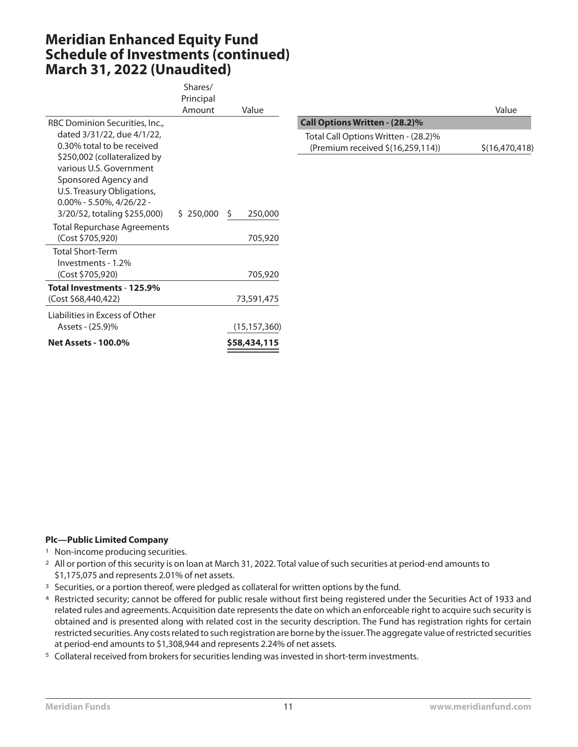## **Meridian Enhanced Equity Fund Schedule of Investments (continued) March 31, 2022 (Unaudited)**

|                                    | Shares/   |                |                                      |                  |
|------------------------------------|-----------|----------------|--------------------------------------|------------------|
|                                    | Principal |                |                                      |                  |
|                                    | Amount    | Value          |                                      | Value            |
| RBC Dominion Securities, Inc.,     |           |                | Call Options Written - (28.2)%       |                  |
| dated 3/31/22, due 4/1/22,         |           |                | Total Call Options Written - (28.2)% |                  |
| 0.30% total to be received         |           |                | (Premium received \$(16,259,114))    | \$(16, 470, 418) |
| \$250,002 (collateralized by       |           |                |                                      |                  |
| various U.S. Government            |           |                |                                      |                  |
| Sponsored Agency and               |           |                |                                      |                  |
| U.S. Treasury Obligations,         |           |                |                                      |                  |
| $0.00\%$ - 5.50%, 4/26/22 -        |           |                |                                      |                  |
| 3/20/52, totaling \$255,000)       | \$250,000 | S<br>250,000   |                                      |                  |
| <b>Total Repurchase Agreements</b> |           |                |                                      |                  |
| (Cost \$705,920)                   |           | 705,920        |                                      |                  |
| <b>Total Short-Term</b>            |           |                |                                      |                  |
| Investments - 1.2%                 |           |                |                                      |                  |
| (Cost \$705,920)                   |           | 705,920        |                                      |                  |
| Total Investments - 125.9%         |           |                |                                      |                  |
| (Cost \$68,440,422)                |           | 73,591,475     |                                      |                  |
| Liabilities in Excess of Other     |           |                |                                      |                  |
| Assets - (25.9)%                   |           | (15, 157, 360) |                                      |                  |
| <b>Net Assets - 100.0%</b>         |           | \$58,434,115   |                                      |                  |
|                                    |           |                |                                      |                  |

- <sup>1</sup> Non-income producing securities.
- 2 All or portion of this security is on loan at March 31, 2022. Total value of such securities at period-end amounts to \$1,175,075 and represents 2.01% of net assets.
- <sup>3</sup> Securities, or a portion thereof, were pledged as collateral for written options by the fund.
- 4 Restricted security; cannot be offered for public resale without first being registered under the Securities Act of 1933 and related rules and agreements. Acquisition date represents the date on which an enforceable right to acquire such security is obtained and is presented along with related cost in the security description. The Fund has registration rights for certain restricted securities. Any costs related to such registration are borne by the issuer.The aggregate value of restricted securities at period-end amounts to \$1,308,944 and represents 2.24% of net assets.
- 5 Collateral received from brokers for securities lending was invested in short-term investments.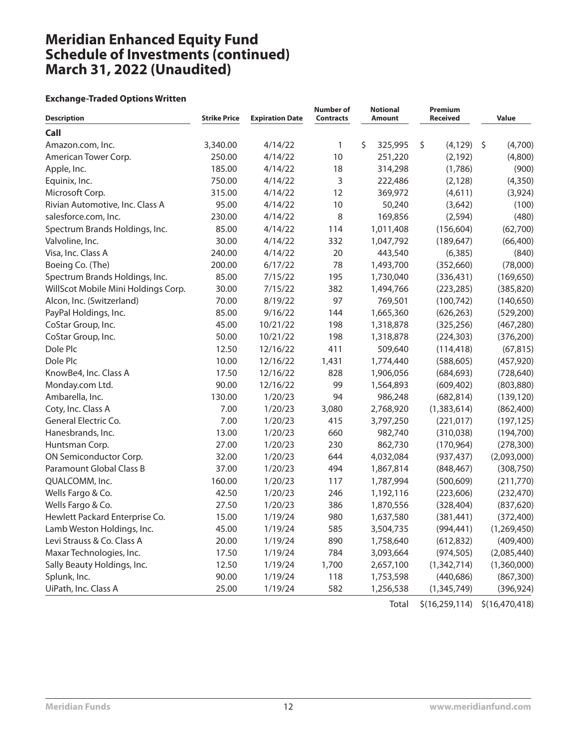# **Meridian Enhanced Equity Fund Schedule of Investments (continued) March 31, 2022 (Unaudited)**

#### **Exchange-Traded Options Written**

| <b>Description</b>                  | <b>Strike Price</b> | <b>Expiration Date</b> | <b>Number of</b><br><b>Contracts</b> | <b>Notional</b><br>Amount | Premium<br><b>Received</b> | <b>Value</b>       |
|-------------------------------------|---------------------|------------------------|--------------------------------------|---------------------------|----------------------------|--------------------|
| Call                                |                     |                        |                                      |                           |                            |                    |
| Amazon.com, Inc.                    | 3,340.00            | 4/14/22                | 1                                    | \$<br>325,995             | \$<br>(4, 129)             | $\zeta$<br>(4,700) |
| American Tower Corp.                | 250.00              | 4/14/22                | 10                                   | 251,220                   | (2, 192)                   | (4,800)            |
| Apple, Inc.                         | 185.00              | 4/14/22                | 18                                   | 314,298                   | (1,786)                    | (900)              |
| Equinix, Inc.                       | 750.00              | 4/14/22                | 3                                    | 222,486                   | (2, 128)                   | (4,350)            |
| Microsoft Corp.                     | 315.00              | 4/14/22                | 12                                   | 369,972                   | (4,611)                    | (3,924)            |
| Rivian Automotive, Inc. Class A     | 95.00               | 4/14/22                | 10                                   | 50,240                    | (3,642)                    | (100)              |
| salesforce.com, Inc.                | 230.00              | 4/14/22                | 8                                    | 169,856                   | (2, 594)                   | (480)              |
| Spectrum Brands Holdings, Inc.      | 85.00               | 4/14/22                | 114                                  | 1,011,408                 | (156, 604)                 | (62,700)           |
| Valvoline, Inc.                     | 30.00               | 4/14/22                | 332                                  | 1,047,792                 | (189, 647)                 | (66, 400)          |
| Visa, Inc. Class A                  | 240.00              | 4/14/22                | 20                                   | 443,540                   | (6,385)                    | (840)              |
| Boeing Co. (The)                    | 200.00              | 6/17/22                | 78                                   | 1,493,700                 | (352,660)                  | (78,000)           |
| Spectrum Brands Holdings, Inc.      | 85.00               | 7/15/22                | 195                                  | 1,730,040                 | (336, 431)                 | (169, 650)         |
| WillScot Mobile Mini Holdings Corp. | 30.00               | 7/15/22                | 382                                  | 1,494,766                 | (223, 285)                 | (385, 820)         |
| Alcon, Inc. (Switzerland)           | 70.00               | 8/19/22                | 97                                   | 769,501                   | (100, 742)                 | (140, 650)         |
| PayPal Holdings, Inc.               | 85.00               | 9/16/22                | 144                                  | 1,665,360                 | (626, 263)                 | (529, 200)         |
| CoStar Group, Inc.                  | 45.00               | 10/21/22               | 198                                  | 1,318,878                 | (325, 256)                 | (467, 280)         |
| CoStar Group, Inc.                  | 50.00               | 10/21/22               | 198                                  | 1,318,878                 | (224, 303)                 | (376, 200)         |
| Dole Plc                            | 12.50               | 12/16/22               | 411                                  | 509,640                   | (114, 418)                 | (67, 815)          |
| Dole Plc                            | 10.00               | 12/16/22               | 1,431                                | 1,774,440                 | (588, 605)                 | (457, 920)         |
| KnowBe4, Inc. Class A               | 17.50               | 12/16/22               | 828                                  | 1,906,056                 | (684, 693)                 | (728, 640)         |
| Monday.com Ltd.                     | 90.00               | 12/16/22               | 99                                   | 1,564,893                 | (609, 402)                 | (803, 880)         |
| Ambarella, Inc.                     | 130.00              | 1/20/23                | 94                                   | 986,248                   | (682, 814)                 | (139, 120)         |
| Coty, Inc. Class A                  | 7.00                | 1/20/23                | 3,080                                | 2,768,920                 | (1,383,614)                | (862, 400)         |
| General Electric Co.                | 7.00                | 1/20/23                | 415                                  | 3,797,250                 | (221, 017)                 | (197, 125)         |
| Hanesbrands, Inc.                   | 13.00               | 1/20/23                | 660                                  | 982,740                   | (310,038)                  | (194,700)          |
| Huntsman Corp.                      | 27.00               | 1/20/23                | 230                                  | 862,730                   | (170, 964)                 | (278, 300)         |
| ON Semiconductor Corp.              | 32.00               | 1/20/23                | 644                                  | 4,032,084                 | (937, 437)                 | (2,093,000)        |
| Paramount Global Class B            | 37.00               | 1/20/23                | 494                                  | 1,867,814                 | (848, 467)                 | (308, 750)         |
| QUALCOMM, Inc.                      | 160.00              | 1/20/23                | 117                                  | 1,787,994                 | (500, 609)                 | (211,770)          |
| Wells Fargo & Co.                   | 42.50               | 1/20/23                | 246                                  | 1,192,116                 | (223, 606)                 | (232, 470)         |
| Wells Fargo & Co.                   | 27.50               | 1/20/23                | 386                                  | 1,870,556                 | (328, 404)                 | (837, 620)         |
| Hewlett Packard Enterprise Co.      | 15.00               | 1/19/24                | 980                                  | 1,637,580                 | (381, 441)                 | (372,400)          |
| Lamb Weston Holdings, Inc.          | 45.00               | 1/19/24                | 585                                  | 3,504,735                 | (994, 441)                 | (1,269,450)        |
| Levi Strauss & Co. Class A          | 20.00               | 1/19/24                | 890                                  | 1,758,640                 | (612, 832)                 | (409, 400)         |
| Maxar Technologies, Inc.            | 17.50               | 1/19/24                | 784                                  | 3,093,664                 | (974, 505)                 | (2,085,440)        |
| Sally Beauty Holdings, Inc.         | 12.50               | 1/19/24                | 1,700                                | 2,657,100                 | (1,342,714)                | (1,360,000)        |
| Splunk, Inc.                        | 90.00               | 1/19/24                | 118                                  | 1,753,598                 | (440, 686)                 | (867, 300)         |
| UiPath, Inc. Class A                | 25.00               | 1/19/24                | 582                                  | 1,256,538                 | (1, 345, 749)              | (396, 924)         |
|                                     |                     |                        |                                      | Total                     | \$(16, 259, 114)           | \$(16, 470, 418)   |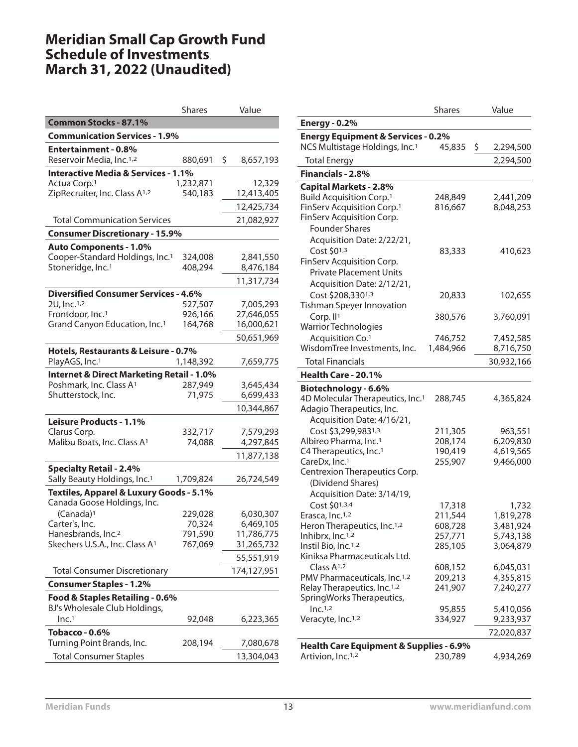|                                                                              | <b>Shares</b>        | Value                  |  |  |  |
|------------------------------------------------------------------------------|----------------------|------------------------|--|--|--|
| <b>Common Stocks - 87.1%</b>                                                 |                      |                        |  |  |  |
| <b>Communication Services - 1.9%</b>                                         |                      |                        |  |  |  |
| <b>Entertainment - 0.8%</b>                                                  |                      |                        |  |  |  |
| Reservoir Media, Inc. <sup>1,2</sup>                                         | 880,691              | \$<br>8,657,193        |  |  |  |
| <b>Interactive Media &amp; Services - 1.1%</b>                               |                      |                        |  |  |  |
| Actua Corp. <sup>1</sup><br>ZipRecruiter, Inc. Class A <sup>1,2</sup>        | 1,232,871<br>540,183 | 12,329                 |  |  |  |
|                                                                              |                      | 12,413,405             |  |  |  |
|                                                                              |                      | 12,425,734             |  |  |  |
| <b>Total Communication Services</b>                                          |                      | 21,082,927             |  |  |  |
| <b>Consumer Discretionary - 15.9%</b>                                        |                      |                        |  |  |  |
| <b>Auto Components - 1.0%</b><br>Cooper-Standard Holdings, Inc. <sup>1</sup> |                      |                        |  |  |  |
| Stoneridge, Inc. <sup>1</sup>                                                | 324,008<br>408,294   | 2,841,550<br>8,476,184 |  |  |  |
|                                                                              |                      | 11,317,734             |  |  |  |
| <b>Diversified Consumer Services - 4.6%</b>                                  |                      |                        |  |  |  |
| 2U, Inc. <sup>1,2</sup>                                                      | 527,507              | 7,005,293              |  |  |  |
| Frontdoor, Inc. <sup>1</sup>                                                 | 926,166              | 27,646,055             |  |  |  |
| Grand Canyon Education, Inc. <sup>1</sup>                                    | 164,768              | 16,000,621             |  |  |  |
|                                                                              |                      | 50,651,969             |  |  |  |
| Hotels, Restaurants & Leisure - 0.7%                                         |                      |                        |  |  |  |
| PlayAGS, Inc. <sup>1</sup>                                                   | 1,148,392            | 7,659,775              |  |  |  |
| <b>Internet &amp; Direct Marketing Retail - 1.0%</b>                         |                      |                        |  |  |  |
| Poshmark, Inc. Class A <sup>1</sup>                                          | 287,949              | 3,645,434              |  |  |  |
| Shutterstock, Inc.                                                           | 71,975               | 6,699,433              |  |  |  |
|                                                                              |                      | 10,344,867             |  |  |  |
| Leisure Products - 1.1%                                                      |                      |                        |  |  |  |
| Clarus Corp.<br>Malibu Boats, Inc. Class A <sup>1</sup>                      | 332,717<br>74,088    | 7,579,293<br>4,297,845 |  |  |  |
|                                                                              |                      |                        |  |  |  |
|                                                                              |                      | 11,877,138             |  |  |  |
| <b>Specialty Retail - 2.4%</b><br>Sally Beauty Holdings, Inc. <sup>1</sup>   | 1,709,824            | 26,724,549             |  |  |  |
| Textiles, Apparel & Luxury Goods - 5.1%                                      |                      |                        |  |  |  |
| Canada Goose Holdings, Inc.                                                  |                      |                        |  |  |  |
| $(Canada)^1$                                                                 | 229,028              | 6,030,307              |  |  |  |
| Carter's, Inc.                                                               | 70,324               | 6,469,105              |  |  |  |
| Hanesbrands, Inc. <sup>2</sup>                                               | 791,590              | 11,786,775             |  |  |  |
| Skechers U.S.A., Inc. Class A <sup>1</sup>                                   | 767,069              | 31,265,732             |  |  |  |
|                                                                              |                      | 55,551,919             |  |  |  |
| <b>Total Consumer Discretionary</b>                                          |                      | 174,127,951            |  |  |  |
| <b>Consumer Staples - 1.2%</b>                                               |                      |                        |  |  |  |
| Food & Staples Retailing - 0.6%                                              |                      |                        |  |  |  |
| BJ's Wholesale Club Holdings,                                                |                      |                        |  |  |  |
| Inc. <sup>1</sup>                                                            | 92,048               | 6,223,365              |  |  |  |
| Tobacco - 0.6%                                                               |                      |                        |  |  |  |
| Turning Point Brands, Inc.                                                   | 208,194              | 7,080,678              |  |  |  |
| <b>Total Consumer Staples</b>                                                |                      | 13,304,043             |  |  |  |

|                                                                           | <b>Shares</b>      | Value                |
|---------------------------------------------------------------------------|--------------------|----------------------|
| <b>Energy - 0.2%</b>                                                      |                    |                      |
| <b>Energy Equipment &amp; Services - 0.2%</b>                             |                    |                      |
| NCS Multistage Holdings, Inc. <sup>1</sup>                                | 45,835             | \$<br>2,294,500      |
| <b>Total Energy</b>                                                       |                    | 2,294,500            |
| Financials - 2.8%                                                         |                    |                      |
| <b>Capital Markets - 2.8%</b>                                             |                    |                      |
| <b>Build Acquisition Corp.1</b>                                           | 248,849            | 2,441,209            |
| FinServ Acquisition Corp. <sup>1</sup>                                    | 816,667            | 8,048,253            |
| FinServ Acquisition Corp.                                                 |                    |                      |
| <b>Founder Shares</b>                                                     |                    |                      |
| Acquisition Date: 2/22/21,                                                |                    |                      |
| Cost \$01,3                                                               | 83,333             | 410,623              |
| FinServ Acquisition Corp.                                                 |                    |                      |
| <b>Private Placement Units</b>                                            |                    |                      |
| Acquisition Date: 2/12/21,                                                |                    |                      |
| Cost \$208,3301,3                                                         | 20,833             | 102,655              |
| Tishman Speyer Innovation                                                 |                    |                      |
| Corp. $II1$                                                               | 380,576            | 3,760,091            |
| <b>Warrior Technologies</b>                                               |                    |                      |
| Acquisition Co. <sup>1</sup>                                              | 746,752            | 7,452,585            |
| WisdomTree Investments, Inc.                                              | 1,484,966          | 8,716,750            |
| <b>Total Financials</b>                                                   |                    | 30,932,166           |
| Health Care - 20.1%                                                       |                    |                      |
|                                                                           |                    |                      |
| Biotechnology - 6.6%                                                      |                    |                      |
| 4D Molecular Therapeutics, Inc. <sup>1</sup><br>Adagio Therapeutics, Inc. | 288,745            | 4,365,824            |
| Acquisition Date: 4/16/21,                                                |                    |                      |
|                                                                           |                    |                      |
| Cost \$3,299,9831,3<br>Albireo Pharma, Inc. <sup>1</sup>                  | 211,305<br>208,174 | 963,551<br>6,209,830 |
| C4 Therapeutics, Inc. <sup>1</sup>                                        | 190,419            | 4,619,565            |
| CareDx, Inc. <sup>1</sup>                                                 | 255,907            | 9,466,000            |
| Centrexion Therapeutics Corp.                                             |                    |                      |
| (Dividend Shares)                                                         |                    |                      |
| Acquisition Date: 3/14/19,                                                |                    |                      |
| Cost \$01,3,4                                                             | 17,318             | 1,732                |
| Erasca, Inc. <sup>1,2</sup>                                               | 211,544            | 1,819,278            |
| Heron Therapeutics, Inc. <sup>1,2</sup>                                   | 608,728            | 3,481,924            |
| Inhibrx, Inc. <sup>1,2</sup>                                              | 257,771            | 5,743,138            |
| Instil Bio, Inc. <sup>1,2</sup>                                           | 285,105            | 3,064,879            |
| Kiniksa Pharmaceuticals Ltd.                                              |                    |                      |
| Class $A1,2$                                                              | 608,152            | 6,045,031            |
| PMV Pharmaceuticals, Inc. <sup>1,2</sup>                                  | 209,213            | 4,355,815            |
| Relay Therapeutics, Inc. <sup>1,2</sup>                                   | 241,907            | 7,240,277            |
| SpringWorks Therapeutics,                                                 |                    |                      |
| Inc. <sup>1,2</sup>                                                       | 95,855             | 5,410,056            |
| Veracyte, Inc. <sup>1,2</sup>                                             | 334,927            | 9,233,937            |
|                                                                           |                    | 72,020,837           |
| Health Care Equipment & Supplies - 6.9%                                   |                    |                      |
| Artivion, Inc. <sup>1,2</sup>                                             | 230,789            | 4,934,269            |
|                                                                           |                    |                      |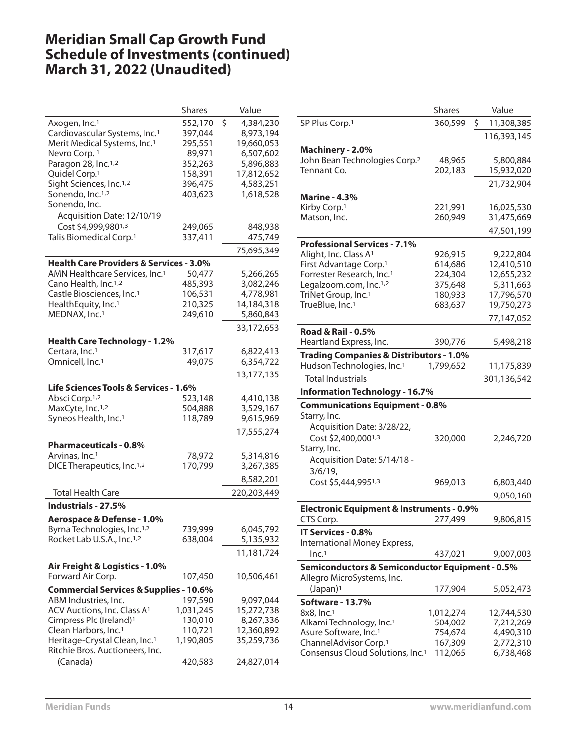|                                                                    | <b>Shares</b>     | Value                  |
|--------------------------------------------------------------------|-------------------|------------------------|
| Axogen, Inc. <sup>1</sup>                                          | 552,170           | \$<br>4,384,230        |
| Cardiovascular Systems, Inc. <sup>1</sup>                          | 397,044           | 8,973,194              |
| Merit Medical Systems, Inc. <sup>1</sup>                           | 295,551           | 19,660,053             |
| Nevro Corp. 1                                                      | 89,971            | 6,507,602              |
| Paragon 28, Inc. <sup>1,2</sup>                                    | 352,263           | 5,896,883              |
| Quidel Corp. <sup>1</sup>                                          | 158,391           | 17,812,652             |
| Sight Sciences, Inc. <sup>1,2</sup>                                | 396,475           | 4,583,251              |
| Sonendo, Inc. <sup>1,2</sup>                                       | 403,623           | 1,618,528              |
| Sonendo, Inc.                                                      |                   |                        |
| Acquisition Date: 12/10/19                                         |                   |                        |
| Cost \$4,999,9801,3                                                | 249,065           | 848,938                |
| Talis Biomedical Corp. <sup>1</sup>                                | 337,411           | 475,749                |
|                                                                    |                   | 75,695,349             |
| <b>Health Care Providers &amp; Services - 3.0%</b>                 |                   |                        |
| AMN Healthcare Services, Inc. <sup>1</sup>                         | 50,477            | 5,266,265              |
| Cano Health, Inc. <sup>1,2</sup>                                   | 485,393           | 3,082,246              |
| Castle Biosciences, Inc. <sup>1</sup>                              | 106,531           | 4,778,981              |
| HealthEquity, Inc. <sup>1</sup>                                    | 210,325           | 14,184,318             |
| MEDNAX, Inc.1                                                      | 249,610           | 5,860,843              |
|                                                                    |                   | 33,172,653             |
|                                                                    |                   |                        |
| <b>Health Care Technology - 1.2%</b><br>Certara, Inc. <sup>1</sup> |                   |                        |
| Omnicell, Inc. <sup>1</sup>                                        | 317,617<br>49,075 | 6,822,413<br>6,354,722 |
|                                                                    |                   |                        |
|                                                                    |                   | 13,177,135             |
| Life Sciences Tools & Services - 1.6%                              |                   |                        |
| Absci Corp. <sup>1,2</sup>                                         | 523,148           | 4,410,138              |
| MaxCyte, Inc. <sup>1,2</sup>                                       | 504,888           | 3,529,167              |
| Syneos Health, Inc. <sup>1</sup>                                   | 118,789           | 9,615,969              |
|                                                                    |                   | 17,555,274             |
| <b>Pharmaceuticals - 0.8%</b>                                      |                   |                        |
| Arvinas, Inc. <sup>1</sup>                                         | 78,972            | 5,314,816              |
| DICE Therapeutics, Inc. <sup>1,2</sup>                             | 170,799           | 3,267,385              |
|                                                                    |                   | 8,582,201              |
| <b>Total Health Care</b>                                           |                   | 220,203,449            |
| Industrials - 27.5%                                                |                   |                        |
| Aerospace & Defense - 1.0%                                         |                   |                        |
| Byrna Technologies, Inc. <sup>1,2</sup>                            | 739,999           | 6,045,792              |
| Rocket Lab U.S.A., Inc. <sup>1,2</sup>                             | 638,004           | 5,135,932              |
|                                                                    |                   | 11,181,724             |
|                                                                    |                   |                        |
| Air Freight & Logistics - 1.0%                                     |                   |                        |
| Forward Air Corp.                                                  | 107,450           | 10,506,461             |
| <b>Commercial Services &amp; Supplies - 10.6%</b>                  |                   |                        |
| ABM Industries, Inc.                                               | 197,590           | 9,097,044              |
| ACV Auctions, Inc. Class A <sup>1</sup>                            | 1,031,245         | 15,272,738             |
| Cimpress Plc (Ireland) <sup>1</sup>                                | 130,010           | 8,267,336              |
| Clean Harbors, Inc. <sup>1</sup>                                   | 110,721           | 12,360,892             |
| Heritage-Crystal Clean, Inc. <sup>1</sup>                          | 1,190,805         | 35,259,736             |
| Ritchie Bros. Auctioneers, Inc.                                    |                   |                        |
| (Canada)                                                           | 420,583           | 24,827,014             |

|                                                                                   | <b>Shares</b>      | Value                  |
|-----------------------------------------------------------------------------------|--------------------|------------------------|
| SP Plus Corp. <sup>1</sup>                                                        | 360,599            | \$.<br>11,308,385      |
|                                                                                   |                    | 116,393,145            |
| Machinery - 2.0%                                                                  |                    |                        |
| John Bean Technologies Corp. <sup>2</sup>                                         | 48,965             | 5,800,884              |
| Tennant Co.                                                                       | 202,183            | 15,932,020             |
|                                                                                   |                    | 21,732,904             |
| <b>Marine - 4.3%</b>                                                              |                    |                        |
| Kirby Corp. <sup>1</sup>                                                          | 221,991            | 16,025,530             |
| Matson, Inc.                                                                      | 260,949            | 31,475,669             |
|                                                                                   |                    | 47,501,199             |
| <b>Professional Services - 7.1%</b>                                               |                    |                        |
| Alight, Inc. Class A <sup>1</sup>                                                 | 926,915            | 9,222,804              |
| First Advantage Corp. <sup>1</sup>                                                | 614,686            | 12,410,510             |
| Forrester Research, Inc. <sup>1</sup>                                             | 224,304            | 12,655,232             |
| Legalzoom.com, Inc. <sup>1,2</sup>                                                | 375,648            | 5,311,663              |
| TriNet Group, Inc. <sup>1</sup>                                                   | 180,933            | 17,796,570             |
| TrueBlue, Inc. <sup>1</sup>                                                       | 683,637            | 19,750,273             |
|                                                                                   |                    | 77,147,052             |
| <b>Road &amp; Rail - 0.5%</b>                                                     |                    |                        |
| Heartland Express, Inc.                                                           | 390,776            | 5,498,218              |
| <b>Trading Companies &amp; Distributors - 1.0%</b>                                |                    |                        |
| Hudson Technologies, Inc. <sup>1</sup>                                            | 1,799,652          | 11,175,839             |
| <b>Total Industrials</b>                                                          |                    | 301,136,542            |
|                                                                                   |                    |                        |
|                                                                                   |                    |                        |
| <b>Information Technology - 16.7%</b>                                             |                    |                        |
| <b>Communications Equipment - 0.8%</b>                                            |                    |                        |
| Starry, Inc.                                                                      |                    |                        |
| Acquisition Date: 3/28/22,                                                        |                    |                        |
| Cost \$2,400,0001,3                                                               | 320,000            | 2,246,720              |
| Starry, Inc.                                                                      |                    |                        |
| Acquisition Date: 5/14/18 -                                                       |                    |                        |
| $3/6/19$ ,                                                                        |                    |                        |
| Cost \$5,444,9951,3                                                               | 969,013            | 6,803,440              |
|                                                                                   |                    | 9,050,160              |
| <b>Electronic Equipment &amp; Instruments - 0.9%</b>                              |                    |                        |
| CTS Corp.                                                                         | 277,499            | 9,806,815              |
| IT Services - 0.8%                                                                |                    |                        |
| International Money Express,                                                      |                    |                        |
| Inc. <sup>1</sup>                                                                 | 437,021            | 9,007,003              |
| <b>Semiconductors &amp; Semiconductor Equipment - 0.5%</b>                        |                    |                        |
| Allegro MicroSystems, Inc.                                                        |                    |                        |
| (Japan) <sup>1</sup>                                                              | 177,904            | 5,052,473              |
| <b>Software - 13.7%</b>                                                           |                    |                        |
| 8x8, Inc.1                                                                        | 1,012,274          | 12,744,530             |
| Alkami Technology, Inc. <sup>1</sup>                                              | 504,002            | 7,212,269              |
| Asure Software, Inc. <sup>1</sup>                                                 | 754,674            | 4,490,310              |
| ChannelAdvisor Corp. <sup>1</sup><br>Consensus Cloud Solutions, Inc. <sup>1</sup> | 167,309<br>112,065 | 2,772,310<br>6,738,468 |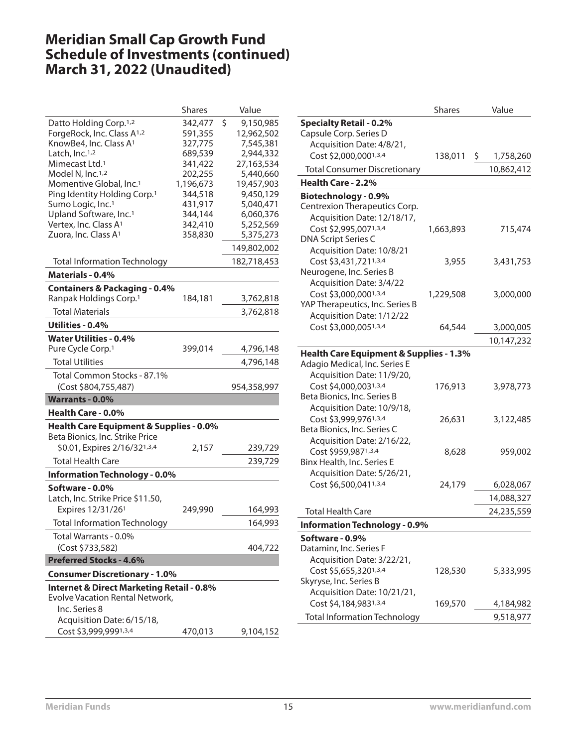|                                                                                 | <b>Shares</b>        | Value                   |
|---------------------------------------------------------------------------------|----------------------|-------------------------|
| Datto Holding Corp. <sup>1,2</sup>                                              | 342,477              | \$<br>9,150,985         |
| ForgeRock, Inc. Class A <sup>1,2</sup>                                          | 591,355              | 12,962,502              |
| KnowBe4, Inc. Class A <sup>1</sup>                                              | 327,775              | 7,545,381               |
| Latch, Inc. <sup>1,2</sup>                                                      | 689,539              | 2,944,332               |
| Mimecast Ltd. <sup>1</sup>                                                      | 341,422              | 27,163,534              |
| Model N, Inc. <sup>1,2</sup>                                                    | 202,255              | 5,440,660               |
| Momentive Global, Inc. <sup>1</sup><br>Ping Identity Holding Corp. <sup>1</sup> | 1,196,673<br>344,518 | 19,457,903<br>9,450,129 |
| Sumo Logic, Inc.1                                                               | 431,917              | 5,040,471               |
| Upland Software, Inc. <sup>1</sup>                                              | 344,144              | 6,060,376               |
| Vertex, Inc. Class A <sup>1</sup>                                               | 342,410              | 5,252,569               |
| Zuora, Inc. Class A <sup>1</sup>                                                | 358,830              | 5,375,273               |
|                                                                                 |                      | 149,802,002             |
| <b>Total Information Technology</b>                                             |                      | 182,718,453             |
| Materials - 0.4%                                                                |                      |                         |
| <b>Containers &amp; Packaging - 0.4%</b>                                        |                      |                         |
| Ranpak Holdings Corp. <sup>1</sup>                                              | 184,181              | 3,762,818               |
| <b>Total Materials</b>                                                          |                      | 3,762,818               |
| Utilities - 0.4%                                                                |                      |                         |
| <b>Water Utilities - 0.4%</b>                                                   |                      |                         |
| Pure Cycle Corp. <sup>1</sup>                                                   | 399,014              | 4,796,148               |
| <b>Total Utilities</b>                                                          |                      | 4,796,148               |
| Total Common Stocks - 87.1%                                                     |                      |                         |
| (Cost \$804,755,487)                                                            |                      | 954,358,997             |
| <b>Warrants - 0.0%</b>                                                          |                      |                         |
| <b>Health Care - 0.0%</b>                                                       |                      |                         |
| Health Care Equipment & Supplies - 0.0%                                         |                      |                         |
| Beta Bionics, Inc. Strike Price                                                 |                      |                         |
| \$0.01, Expires 2/16/321,3,4                                                    | 2,157                | 239,729                 |
| <b>Total Health Care</b>                                                        |                      | 239,729                 |
| <b>Information Technology - 0.0%</b>                                            |                      |                         |
| Software - 0.0%                                                                 |                      |                         |
| Latch, Inc. Strike Price \$11.50,                                               |                      |                         |
| Expires 12/31/26 <sup>1</sup>                                                   | 249,990              | 164,993                 |
| <b>Total Information Technology</b>                                             |                      | 164,993                 |
| Total Warrants - 0.0%                                                           |                      |                         |
| (Cost \$733,582)                                                                |                      | 404,722                 |
| <b>Preferred Stocks - 4.6%</b>                                                  |                      |                         |
| <b>Consumer Discretionary - 1.0%</b>                                            |                      |                         |
| <b>Internet &amp; Direct Marketing Retail - 0.8%</b>                            |                      |                         |
| <b>Evolve Vacation Rental Network,</b>                                          |                      |                         |
| Inc. Series 8                                                                   |                      |                         |
| Acquisition Date: 6/15/18,                                                      |                      |                         |
| Cost \$3,999,9991,3,4                                                           | 470,013              | 9,104,152               |

|                                                    | <b>Shares</b> | Value           |
|----------------------------------------------------|---------------|-----------------|
| <b>Specialty Retail - 0.2%</b>                     |               |                 |
| Capsule Corp. Series D                             |               |                 |
| Acquisition Date: 4/8/21,                          |               |                 |
| Cost \$2,000,0001,3,4                              | 138,011       | \$<br>1,758,260 |
| <b>Total Consumer Discretionary</b>                |               | 10,862,412      |
| Health Care - 2.2%                                 |               |                 |
| Biotechnology - 0.9%                               |               |                 |
| Centrexion Therapeutics Corp.                      |               |                 |
| Acquisition Date: 12/18/17,                        |               |                 |
| Cost \$2,995,0071,3,4                              | 1,663,893     | 715,474         |
| DNA Script Series C                                |               |                 |
| Acquisition Date: 10/8/21                          |               |                 |
| Cost \$3,431,7211,3,4                              | 3,955         | 3,431,753       |
| Neurogene, Inc. Series B                           |               |                 |
| Acquisition Date: 3/4/22                           |               |                 |
| Cost \$3,000,0001,3,4                              | 1,229,508     | 3,000,000       |
| YAP Therapeutics, Inc. Series B                    |               |                 |
| Acquisition Date: 1/12/22                          |               |                 |
| Cost \$3,000,0051,3,4                              | 64,544        | 3,000,005       |
|                                                    |               | 10,147,232      |
| <b>Health Care Equipment &amp; Supplies - 1.3%</b> |               |                 |
| Adagio Medical, Inc. Series E                      |               |                 |
| Acquisition Date: 11/9/20,                         |               |                 |
| Cost \$4,000,0031,3,4                              | 176,913       | 3,978,773       |
| Beta Bionics, Inc. Series B                        |               |                 |
| Acquisition Date: 10/9/18,                         |               |                 |
| Cost \$3,999,9761,3,4                              | 26,631        | 3,122,485       |
| Beta Bionics, Inc. Series C                        |               |                 |
| Acquisition Date: 2/16/22,                         |               |                 |
| Cost \$959,9871,3,4                                | 8,628         | 959,002         |
| Binx Health, Inc. Series E                         |               |                 |
| Acquisition Date: 5/26/21,                         |               |                 |
| Cost \$6,500,0411,3,4                              | 24,179        | 6,028,067       |
|                                                    |               | 14,088,327      |
| <b>Total Health Care</b>                           |               | 24,235,559      |
| Information Technology - 0.9%                      |               |                 |
| Software - 0.9%                                    |               |                 |
| Dataminr, Inc. Series F                            |               |                 |
| Acquisition Date: 3/22/21,                         |               |                 |
| Cost \$5,655,3201,3,4                              | 128,530       | 5,333,995       |
| Skyryse, Inc. Series B                             |               |                 |
| Acquisition Date: 10/21/21,                        |               |                 |
| Cost \$4,184,9831,3,4                              | 169,570       | 4,184,982       |
| <b>Total Information Technology</b>                |               | 9,518,977       |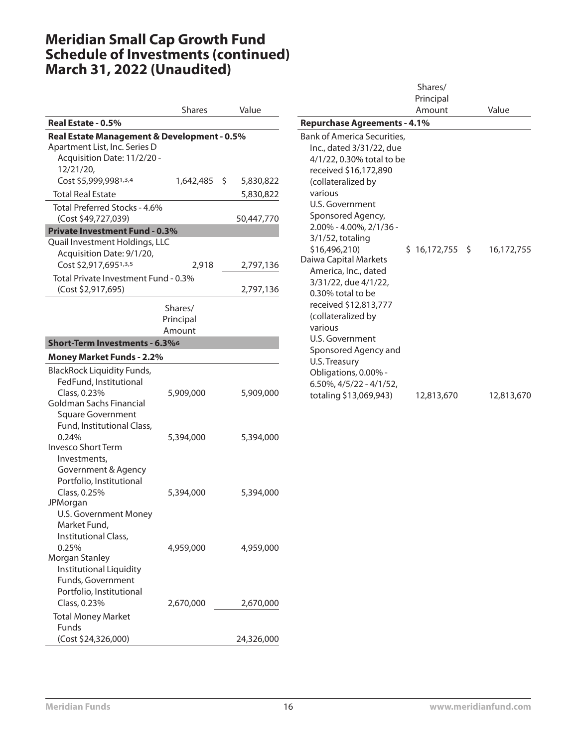|                                                                         | <b>Shares</b> | Value      |
|-------------------------------------------------------------------------|---------------|------------|
| Real Estate - 0.5%                                                      |               |            |
| Real Estate Management & Development - 0.5%                             |               |            |
| Apartment List, Inc. Series D                                           |               |            |
| Acquisition Date: 11/2/20 -                                             |               |            |
| 12/21/20,                                                               |               |            |
| Cost \$5,999,9981,3,4                                                   | 1,642,485 \$  | 5,830,822  |
| <b>Total Real Estate</b>                                                |               | 5,830,822  |
| Total Preferred Stocks - 4.6%                                           |               |            |
| (Cost \$49,727,039)                                                     |               | 50,447,770 |
| <b>Private Investment Fund - 0.3%</b><br>Quail Investment Holdings, LLC |               |            |
| Acquisition Date: 9/1/20,                                               |               |            |
| Cost \$2,917,6951,3,5                                                   | 2,918         | 2,797,136  |
| Total Private Investment Fund - 0.3%                                    |               |            |
| (Cost \$2,917,695)                                                      |               | 2,797,136  |
|                                                                         |               |            |
|                                                                         | Shares/       |            |
|                                                                         | Principal     |            |
|                                                                         | Amount        |            |
| Short-Term Investments - 6.3%6                                          |               |            |
| <b>Money Market Funds - 2.2%</b>                                        |               |            |
| <b>BlackRock Liquidity Funds,</b>                                       |               |            |
| FedFund, Institutional                                                  |               |            |
| Class, 0.23%                                                            | 5,909,000     | 5,909,000  |
| Goldman Sachs Financial                                                 |               |            |
| <b>Square Government</b>                                                |               |            |
| Fund, Institutional Class,                                              |               |            |
| 0.24%<br>Invesco Short Term                                             | 5,394,000     | 5,394,000  |
| Investments,                                                            |               |            |
| Government & Agency                                                     |               |            |
| Portfolio, Institutional                                                |               |            |
| Class, 0.25%                                                            | 5,394,000     | 5,394,000  |
| JPMorgan                                                                |               |            |
| <b>U.S. Government Money</b>                                            |               |            |
| Market Fund,                                                            |               |            |
| Institutional Class,                                                    |               |            |
| 0.25%                                                                   | 4,959,000     | 4,959,000  |
| Morgan Stanley                                                          |               |            |
| <b>Institutional Liquidity</b>                                          |               |            |
| Funds, Government<br>Portfolio, Institutional                           |               |            |
| Class, 0.23%                                                            | 2,670,000     | 2,670,000  |
|                                                                         |               |            |
| <b>Total Money Market</b><br><b>Funds</b>                               |               |            |
| (Cost \$24,326,000)                                                     |               | 24,326,000 |
|                                                                         |               |            |

|                                                                                                                                                                                                                                                                                                                                                                                                                                                                                                                                         | Shares/<br>Principal |            |
|-----------------------------------------------------------------------------------------------------------------------------------------------------------------------------------------------------------------------------------------------------------------------------------------------------------------------------------------------------------------------------------------------------------------------------------------------------------------------------------------------------------------------------------------|----------------------|------------|
|                                                                                                                                                                                                                                                                                                                                                                                                                                                                                                                                         | Amount               | Value      |
| <b>Repurchase Agreements - 4.1%</b>                                                                                                                                                                                                                                                                                                                                                                                                                                                                                                     |                      |            |
| Bank of America Securities,<br>Inc., dated 3/31/22, due<br>4/1/22, 0.30% total to be<br>received \$16,172,890<br>(collateralized by<br>various<br>U.S. Government<br>Sponsored Agency,<br>2.00% - 4.00%, 2/1/36 -<br>$3/1/52$ , totaling<br>\$16,496,210)<br>Daiwa Capital Markets<br>America, Inc., dated<br>3/31/22, due 4/1/22,<br>0.30% total to be<br>received \$12,813,777<br>(collateralized by<br>various<br>U.S. Government<br>Sponsored Agency and<br>U.S. Treasury<br>Obligations, 0.00% -<br>$6.50\%$ , $4/5/22 - 4/1/52$ , | $$16,172,755$ \$     | 16,172,755 |
| totaling \$13,069,943)                                                                                                                                                                                                                                                                                                                                                                                                                                                                                                                  | 12,813,670           | 12,813,670 |